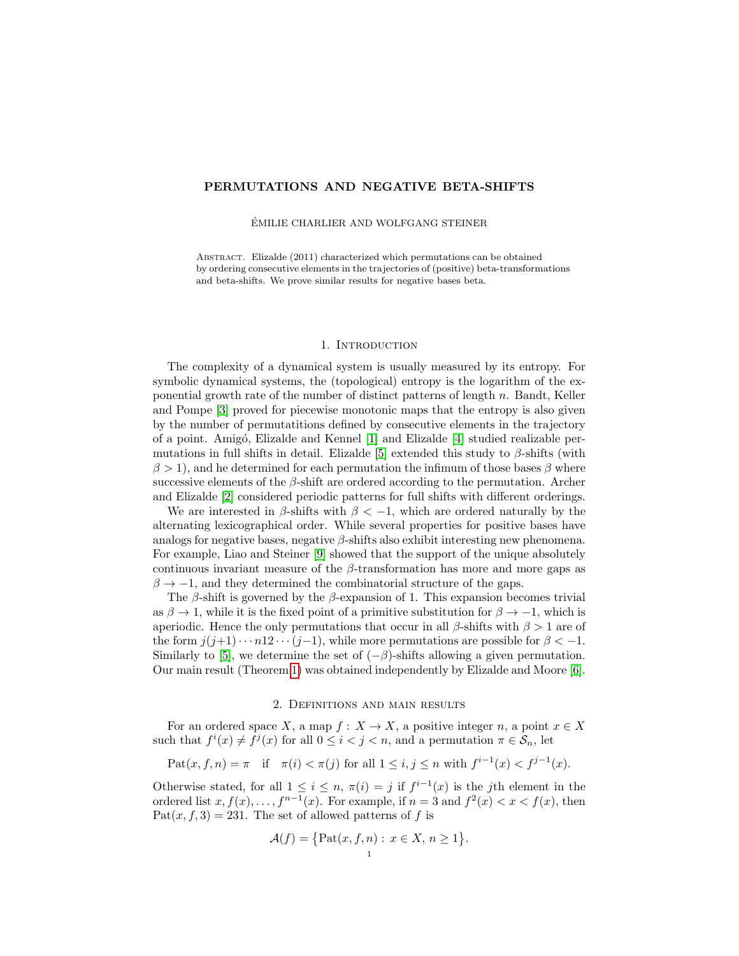# PERMUTATIONS AND NEGATIVE BETA-SHIFTS

### EMILIE CHARLIER AND WOLFGANG STEINER ´

ABSTRACT. Elizalde (2011) characterized which permutations can be obtained by ordering consecutive elements in the trajectories of (positive) beta-transformations and beta-shifts. We prove similar results for negative bases beta.

## 1. INTRODUCTION

The complexity of a dynamical system is usually measured by its entropy. For symbolic dynamical systems, the (topological) entropy is the logarithm of the exponential growth rate of the number of distinct patterns of length  $n$ . Bandt, Keller and Pompe [\[3\]](#page-16-0) proved for piecewise monotonic maps that the entropy is also given by the number of permutatitions defined by consecutive elements in the trajectory of a point. Amig´o, Elizalde and Kennel [\[1\]](#page-16-1) and Elizalde [\[4\]](#page-16-2) studied realizable per-mutations in full shifts in detail. Elizalde [\[5\]](#page-16-3) extended this study to  $\beta$ -shifts (with  $\beta > 1$ , and he determined for each permutation the infimum of those bases  $\beta$  where successive elements of the  $\beta$ -shift are ordered according to the permutation. Archer and Elizalde [\[2\]](#page-16-4) considered periodic patterns for full shifts with different orderings.

We are interested in  $\beta$ -shifts with  $\beta < -1$ , which are ordered naturally by the alternating lexicographical order. While several properties for positive bases have analogs for negative bases, negative  $\beta$ -shifts also exhibit interesting new phenomena. For example, Liao and Steiner [\[9\]](#page-16-5) showed that the support of the unique absolutely continuous invariant measure of the  $\beta$ -transformation has more and more gaps as  $\beta \rightarrow -1$ , and they determined the combinatorial structure of the gaps.

The  $\beta$ -shift is governed by the  $\beta$ -expansion of 1. This expansion becomes trivial as  $\beta \to 1$ , while it is the fixed point of a primitive substitution for  $\beta \to -1$ , which is aperiodic. Hence the only permutations that occur in all  $\beta$ -shifts with  $\beta > 1$  are of the form  $i(j+1)\cdots n12\cdots (j-1)$ , while more permutations are possible for  $\beta < -1$ . Similarly to [\[5\]](#page-16-3), we determine the set of  $(-\beta)$ -shifts allowing a given permutation. Our main result (Theorem [1\)](#page-3-0) was obtained independently by Elizalde and Moore [\[6\]](#page-16-6).

## 2. Definitions and main results

For an ordered space X, a map  $f: X \to X$ , a positive integer n, a point  $x \in X$ such that  $f^{i}(x) \neq f^{j}(x)$  for all  $0 \leq i < j < n$ , and a permutation  $\pi \in S_n$ , let

$$
\text{Pat}(x, f, n) = \pi \quad \text{if} \quad \pi(i) < \pi(j) \text{ for all } 1 \le i, j \le n \text{ with } f^{i-1}(x) < f^{j-1}(x).
$$

Otherwise stated, for all  $1 \leq i \leq n$ ,  $\pi(i) = j$  if  $f^{i-1}(x)$  is the *j*th element in the ordered list  $x, f(x), \ldots, f^{n-1}(x)$ . For example, if  $n = 3$  and  $f^2(x) < x < f(x)$ , then  $Pat(x, f, 3) = 231$ . The set of allowed patterns of f is

$$
\mathcal{A}(f) = \{ \text{Pat}(x, f, n) : x \in X, n \ge 1 \}.
$$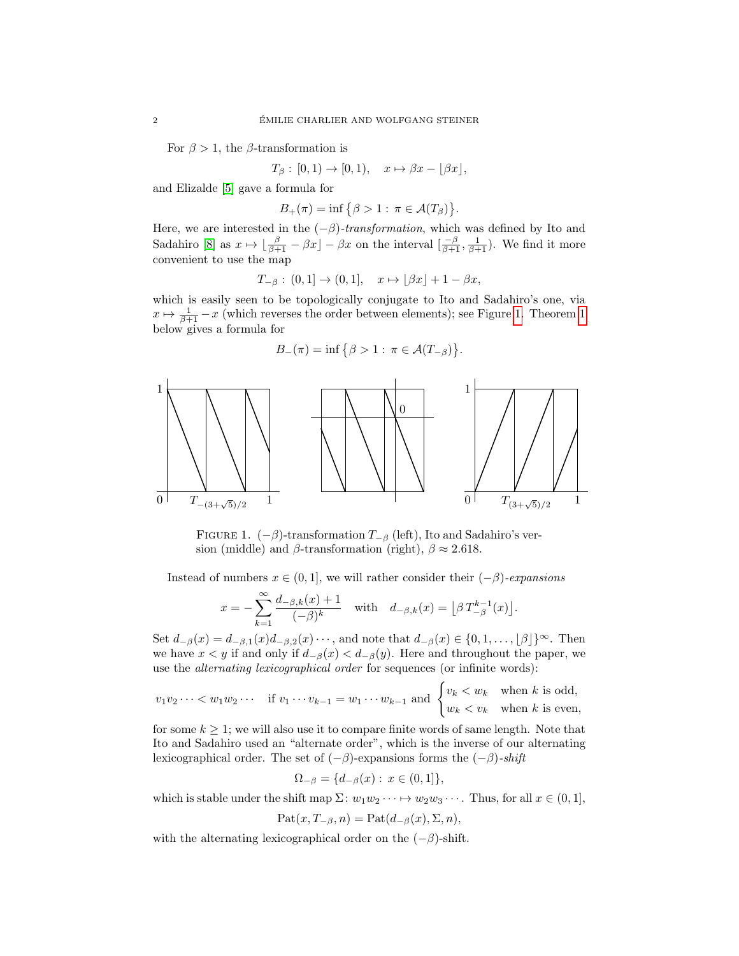For  $\beta > 1$ , the  $\beta$ -transformation is

$$
T_{\beta} : [0,1) \to [0,1), \quad x \mapsto \beta x - \lfloor \beta x \rfloor,
$$

and Elizalde [\[5\]](#page-16-3) gave a formula for

$$
B_+(\pi)=\inf\big\{\beta>1:\,\pi\in\mathcal{A}(T_\beta)\big\}.
$$

Here, we are interested in the  $(-\beta)$ -transformation, which was defined by Ito and Sadahiro [\[8\]](#page-16-7) as  $x \mapsto \lfloor \frac{\beta}{\beta+1} - \beta x \rfloor - \beta x$  on the interval  $\lfloor \frac{-\beta}{\beta+1}, \frac{1}{\beta+1} \rfloor$ . We find it more convenient to use the map

$$
T_{-\beta}:\, (0,1]\rightarrow (0,1],\quad x\mapsto \lfloor\beta x\rfloor+1-\beta x,
$$

which is easily seen to be topologically conjugate to Ito and Sadahiro's one, via  $x \mapsto \frac{1}{\beta+1} - x$  (which reverses the order between elements); see Figure [1.](#page-1-0) Theorem [1](#page-3-0) below gives a formula for

$$
B_{-}(\pi) = \inf \{ \beta > 1 : \pi \in \mathcal{A}(T_{-\beta}) \}.
$$



<span id="page-1-0"></span>FIGURE 1.  $(-\beta)$ -transformation  $T_{-\beta}$  (left), Ito and Sadahiro's version (middle) and  $\beta$ -transformation (right),  $\beta \approx 2.618$ .

Instead of numbers  $x \in (0,1]$ , we will rather consider their  $(-\beta)$ -expansions

$$
x=-\sum_{k=1}^\infty\frac{d_{-\beta,k}(x)+1}{(-\beta)^k}\quad\text{with}\quad d_{-\beta,k}(x)=\big\lfloor\beta\,T^{k-1}_{-\beta}(x)\big\rfloor.
$$

Set  $d_{-\beta}(x) = d_{-\beta,1}(x)d_{-\beta,2}(x)\cdots$ , and note that  $d_{-\beta}(x) \in \{0,1,\ldots,\beta\}\}^{\infty}$ . Then we have  $x < y$  if and only if  $d_{-\beta}(x) < d_{-\beta}(y)$ . Here and throughout the paper, we use the alternating lexicographical order for sequences (or infinite words):

$$
v_1v_2\cdots < w_1w_2\cdots \quad \text{if } v_1\cdots v_{k-1} = w_1\cdots w_{k-1} \text{ and } \begin{cases} v_k < w_k \quad \text{when } k \text{ is odd,} \\ w_k < v_k \quad \text{when } k \text{ is even,} \end{cases}
$$

for some  $k \geq 1$ ; we will also use it to compare finite words of same length. Note that Ito and Sadahiro used an "alternate order", which is the inverse of our alternating lexicographical order. The set of  $(-\beta)$ -expansions forms the  $(-\beta)$ -shift

$$
\Omega_{-\beta} = \{d_{-\beta}(x) : x \in (0,1]\},\
$$

which is stable under the shift map  $\Sigma: w_1w_2 \cdots \mapsto w_2w_3 \cdots$ . Thus, for all  $x \in (0,1]$ ,

$$
Pat(x, T_{-\beta}, n) = Pat(d_{-\beta}(x), \Sigma, n),
$$

with the alternating lexicographical order on the  $(-\beta)$ -shift.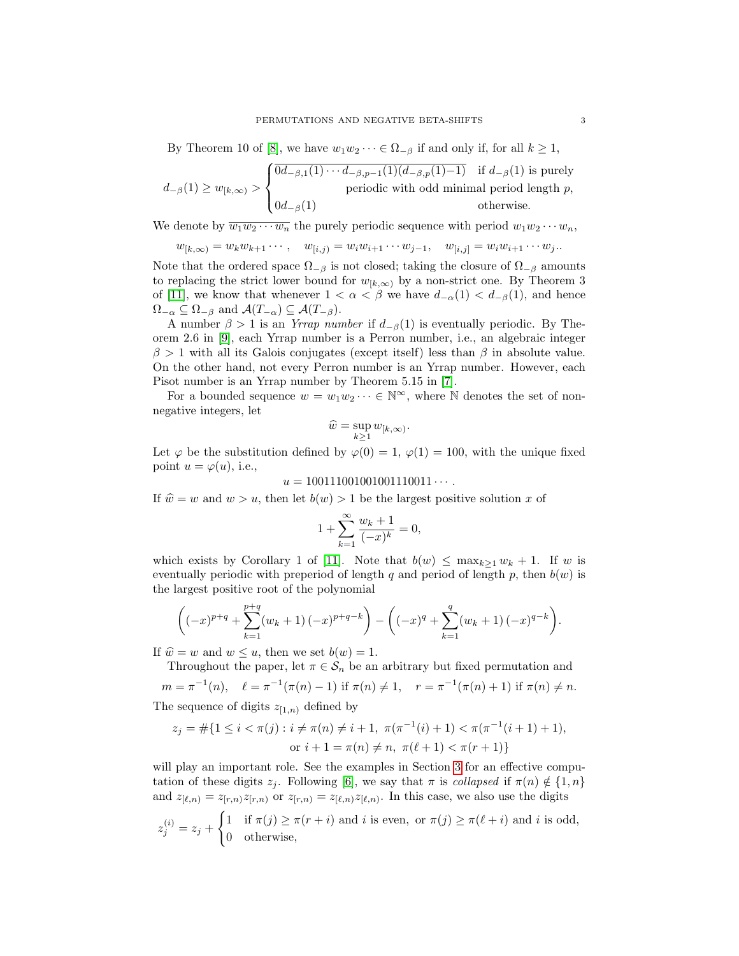By Theorem 10 of [\[8\]](#page-16-7), we have  $w_1w_2\cdots \in \Omega_{-\beta}$  if and only if, for all  $k\geq 1$ ,

$$
d_{-\beta}(1) \ge w_{[k,\infty)} > \begin{cases} \overline{0d_{-\beta,1}(1)\cdots d_{-\beta,p-1}(1)(d_{-\beta,p}(1)-1)} & \text{if } d_{-\beta}(1) \text{ is purely} \\ 0 & \text{periodic with odd minimal period length } p, \\ 0 & \text{otherwise.} \end{cases}
$$

We denote by  $\overline{w_1w_2\cdots w_n}$  the purely periodic sequence with period  $w_1w_2\cdots w_n$ ,

$$
w_{[k,\infty)} = w_k w_{k+1} \cdots, \quad w_{[i,j)} = w_i w_{i+1} \cdots w_{j-1}, \quad w_{[i,j]} = w_i w_{i+1} \cdots w_j.
$$

Note that the ordered space  $\Omega_{-\beta}$  is not closed; taking the closure of  $\Omega_{-\beta}$  amounts to replacing the strict lower bound for  $w_{[k,\infty)}$  by a non-strict one. By Theorem 3 of [\[11\]](#page-16-8), we know that whenever  $1 < \alpha < \beta$  we have  $d_{-\alpha}(1) < d_{-\beta}(1)$ , and hence  $\Omega_{-\alpha} \subseteq \Omega_{-\beta}$  and  $\mathcal{A}(T_{-\alpha}) \subseteq \mathcal{A}(T_{-\beta}).$ 

A number  $\beta > 1$  is an *Yrrap number* if  $d_{-\beta}(1)$  is eventually periodic. By Theorem 2.6 in [\[9\]](#page-16-5), each Yrrap number is a Perron number, i.e., an algebraic integer  $\beta > 1$  with all its Galois conjugates (except itself) less than  $\beta$  in absolute value. On the other hand, not every Perron number is an Yrrap number. However, each Pisot number is an Yrrap number by Theorem 5.15 in [\[7\]](#page-16-9).

For a bounded sequence  $w = w_1w_2 \cdots \in \mathbb{N}^{\infty}$ , where N denotes the set of nonnegative integers, let

$$
\widehat{w} = \sup_{k \geq 1} w_{[k,\infty)}.
$$

Let  $\varphi$  be the substitution defined by  $\varphi(0) = 1$ ,  $\varphi(1) = 100$ , with the unique fixed point  $u = \varphi(u)$ , i.e.,

 $u = 100111001001001110011 \cdots$ 

If  $\hat{w} = w$  and  $w > u$ , then let  $b(w) > 1$  be the largest positive solution x of

$$
1 + \sum_{k=1}^{\infty} \frac{w_k + 1}{(-x)^k} = 0,
$$

which exists by Corollary 1 of [\[11\]](#page-16-8). Note that  $b(w) \leq \max_{k>1} w_k + 1$ . If w is eventually periodic with preperiod of length q and period of length  $p$ , then  $b(w)$  is the largest positive root of the polynomial

$$
\left((-x)^{p+q} + \sum_{k=1}^{p+q} (w_k+1) (-x)^{p+q-k} \right) - \left((-x)^q + \sum_{k=1}^q (w_k+1) (-x)^{q-k} \right).
$$

If  $\hat{w} = w$  and  $w \leq u$ , then we set  $b(w) = 1$ .

Throughout the paper, let  $\pi \in \mathcal{S}_n$  be an arbitrary but fixed permutation and

$$
m = \pi^{-1}(n), \quad \ell = \pi^{-1}(\pi(n) - 1) \text{ if } \pi(n) \neq 1, \quad r = \pi^{-1}(\pi(n) + 1) \text{ if } \pi(n) \neq n.
$$

The sequence of digits  $z_{[1,n)}$  defined by

$$
z_j = #\{1 \le i < \pi(j) : i \ne \pi(n) \ne i+1, \ \pi(\pi^{-1}(i)+1) < \pi(\pi^{-1}(i+1)+1),
$$
\n
$$
\text{or } i+1 = \pi(n) \ne n, \ \pi(\ell+1) < \pi(r+1)\}
$$

will play an important role. See the examples in Section [3](#page-4-0) for an effective computation of these digits  $z_j$ . Following [\[6\]](#page-16-6), we say that  $\pi$  is *collapsed* if  $\pi(n) \notin \{1, n\}$ and  $z_{[\ell,n)} = z_{[r,n)} z_{[r,n)}$  or  $z_{[r,n)} = z_{[\ell,n)} z_{[\ell,n)}$ . In this case, we also use the digits

$$
z_j^{(i)} = z_j + \begin{cases} 1 & \text{if } \pi(j) \ge \pi(r+i) \text{ and } i \text{ is even, or } \pi(j) \ge \pi(\ell+i) \text{ and } i \text{ is odd,} \\ 0 & \text{otherwise,} \end{cases}
$$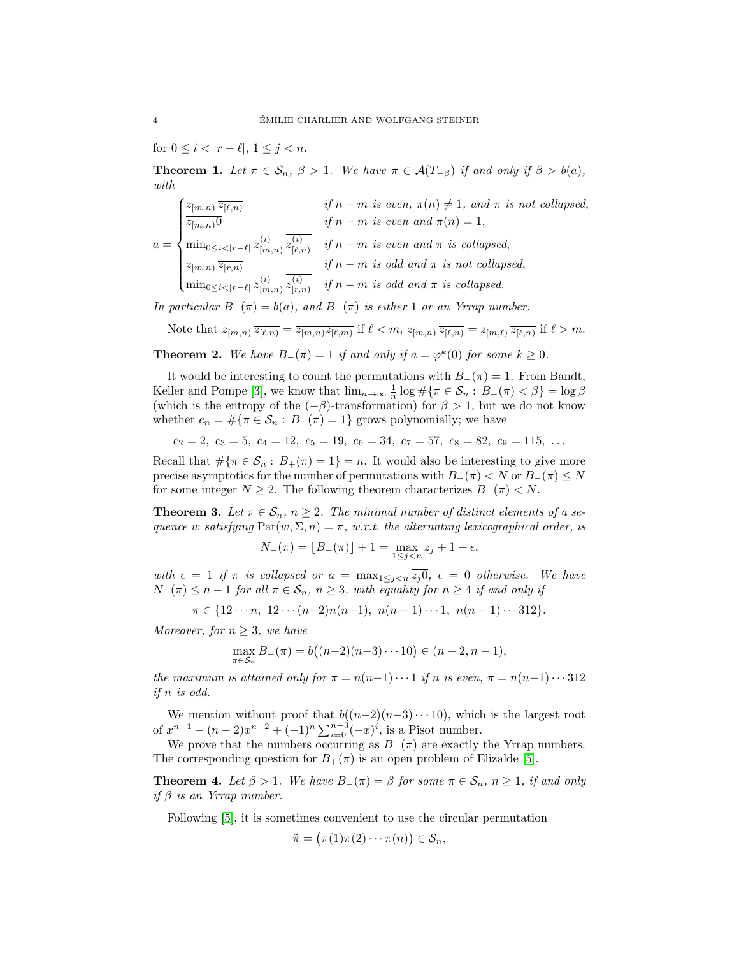for  $0 \le i < |r - \ell|, 1 \le j < n$ .

<span id="page-3-0"></span>**Theorem 1.** Let  $\pi \in \mathcal{S}_n$ ,  $\beta > 1$ . We have  $\pi \in \mathcal{A}(T_{-\beta})$  if and only if  $\beta > b(a)$ , with

$$
a = \begin{cases} \frac{z_{[m,n)}\ \overline{z_{[\ell,n)}}}{z_{[m,n)}0} & \text{if } n-m \text{ is even, } \pi(n) \neq 1, \text{ and } \pi \text{ is not collapsed,} \\ \min_{0 \leq i < |r-\ell|} z_{[m,n)}^{(i)} \ \overline{z_{[\ell,n)}^{(i)}} & \text{if } n-m \text{ is even and } \pi \text{ is collapsed,} \\ \frac{z_{[m,n)}\ \overline{z_{[r,n)}}}{z_{[m,n)}\ \overline{z_{[r,n)}}} & \text{if } n-m \text{ is odd and } \pi \text{ is not collapsed,} \\ \min_{0 \leq i < |r-\ell|} z_{[m,n)}^{(i)} \ \overline{z_{[r,n)}^{(i)}} & \text{if } n-m \text{ is odd and } \pi \text{ is collapsed.} \end{cases}
$$

In particular  $B_-(\pi) = b(a)$ , and  $B_-(\pi)$  is either 1 or an Yrrap number.

Note that 
$$
z_{[m,n)} \overline{z_{[\ell,n)}} = \overline{z_{[m,n)} z_{[\ell,m)}}
$$
 if  $\ell < m$ ,  $z_{[m,n)} \overline{z_{[\ell,n)}} = z_{[m,\ell)} \overline{z_{[\ell,n)}}$  if  $\ell > m$ .

<span id="page-3-1"></span>**Theorem 2.** We have  $B_-(\pi) = 1$  if and only if  $a = \varphi^k(0)$  for some  $k \geq 0$ .

It would be interesting to count the permutations with  $B_-(\pi) = 1$ . From Bandt, Keller and Pompe [\[3\]](#page-16-0), we know that  $\lim_{n\to\infty} \frac{1}{n} \log \#\{\pi \in \mathcal{S}_n : B_-(\pi) < \beta\} = \log \beta$ (which is the entropy of the  $(-\beta)$ -transformation) for  $\beta > 1$ , but we do not know whether  $c_n = \#\{\pi \in \mathcal{S}_n : B_-(\pi) = 1\}$  grows polynomially; we have

$$
c_2 = 2, c_3 = 5, c_4 = 12, c_5 = 19, c_6 = 34, c_7 = 57, c_8 = 82, c_9 = 115, \ldots
$$

Recall that  $\#\{\pi \in \mathcal{S}_n : B_+(\pi)=1\} = n$ . It would also be interesting to give more precise asymptotics for the number of permutations with  $B_-(\pi) < N$  or  $B_-(\pi) \le N$ for some integer  $N \geq 2$ . The following theorem characterizes  $B_-(\pi) < N$ .

<span id="page-3-2"></span>**Theorem 3.** Let  $\pi \in S_n$ ,  $n \geq 2$ . The minimal number of distinct elements of a sequence w satisfying  $Pat(w, \Sigma, n) = \pi$ , w.r.t. the alternating lexicographical order, is

$$
N_{-}(\pi) = \lfloor B_{-}(\pi) \rfloor + 1 = \max_{1 \le j < n} z_j + 1 + \epsilon,
$$

with  $\epsilon = 1$  if  $\pi$  is collapsed or  $a = \max_{1 \leq j < n} \overline{z_j 0}$ ,  $\epsilon = 0$  otherwise. We have  $N_{-}(\pi) \leq n-1$  for all  $\pi \in \mathcal{S}_n$ ,  $n \geq 3$ , with equality for  $n \geq 4$  if and only if

$$
\pi \in \{12\cdots n, 12\cdots (n-2)n(n-1), n(n-1)\cdots 1, n(n-1)\cdots 312\}.
$$

Moreover, for  $n \geq 3$ , we have

$$
\max_{\pi \in S_n} B_{-}(\pi) = b((n-2)(n-3)\cdots 1\overline{0}) \in (n-2, n-1),
$$

the maximum is attained only for  $\pi = n(n-1)\cdots 1$  if n is even,  $\pi = n(n-1)\cdots 312$ if n is odd.

We mention without proof that  $b((n-2)(n-3)\cdots 1\overline{0})$ , which is the largest root of  $x^{n-1} - (n-2)x^{n-2} + (-1)^n \sum_{i=0}^{n-3} (-x)^i$ , is a Pisot number.

We prove that the numbers occurring as  $B_-(\pi)$  are exactly the Yrrap numbers. The corresponding question for  $B_+(\pi)$  is an open problem of Elizalde [\[5\]](#page-16-3).

<span id="page-3-3"></span>**Theorem 4.** Let  $\beta > 1$ . We have  $B_-(\pi) = \beta$  for some  $\pi \in S_n$ ,  $n \ge 1$ , if and only if  $\beta$  is an Yrrap number.

Following [\[5\]](#page-16-3), it is sometimes convenient to use the circular permutation

$$
\tilde{\pi} = (\pi(1)\pi(2)\cdots\pi(n)) \in \mathcal{S}_n,
$$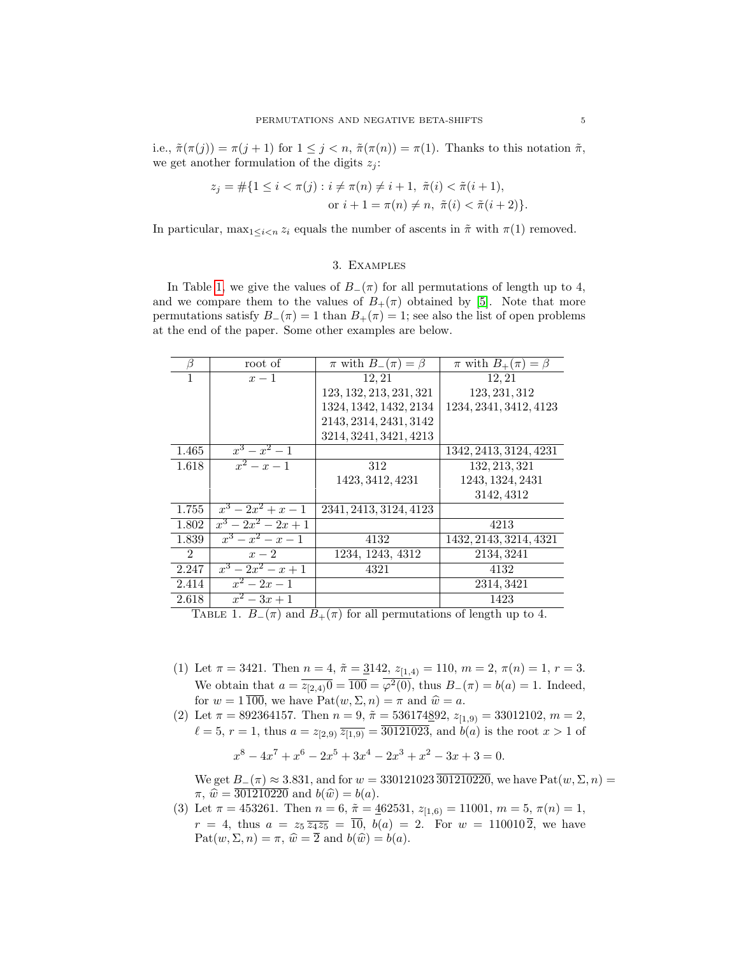i.e.,  $\tilde{\pi}(\pi(j)) = \pi(j+1)$  for  $1 \leq j < n$ ,  $\tilde{\pi}(\pi(n)) = \pi(1)$ . Thanks to this notation  $\tilde{\pi}$ , we get another formulation of the digits  $z_j$ :

$$
z_j = #\{1 \le i < \pi(j) : i \ne \pi(n) \ne i+1, \ \tilde{\pi}(i) < \tilde{\pi}(i+1),
$$
\n
$$
\text{or } i+1 = \pi(n) \ne n, \ \tilde{\pi}(i) < \tilde{\pi}(i+2)\}.
$$

In particular,  $\max_{1 \leq i \leq n} z_i$  equals the number of ascents in  $\tilde{\pi}$  with  $\pi(1)$  removed.

# 3. Examples

<span id="page-4-0"></span>In Table [1,](#page-4-1) we give the values of  $B_-(\pi)$  for all permutations of length up to 4, and we compare them to the values of  $B_+(\pi)$  obtained by [\[5\]](#page-16-3). Note that more permutations satisfy  $B_-(\pi) = 1$  than  $B_+(\pi) = 1$ ; see also the list of open problems at the end of the paper. Some other examples are below.

| β              | root of                   | $\pi$ with $B_-(\pi) = \beta$ | $\pi$ with $B_+(\pi) = \beta$ |
|----------------|---------------------------|-------------------------------|-------------------------------|
|                | $x-1$                     | 12, 21                        | 12, 21                        |
|                |                           | 123, 132, 213, 231, 321       | 123, 231, 312                 |
|                |                           | 1324, 1342, 1432, 2134        | 1234, 2341, 3412, 4123        |
|                |                           | 2143, 2314, 2431, 3142        |                               |
|                |                           | 3214, 3241, 3421, 4213        |                               |
| 1.465          | $x^3 - x^2 - 1$           |                               | 1342, 2413, 3124, 4231        |
| 1.618          | $x^2-x-1$                 | 312                           | 132, 213, 321                 |
|                |                           | 1423, 3412, 4231              | 1243, 1324, 2431              |
|                |                           |                               | 3142, 4312                    |
| 1.755          | $x^3-2x^2+x-1$            | 2341, 2413, 3124, 4123        |                               |
| 1.802          | $x^3-2x^2-2x+1$           |                               | 4213                          |
| 1.839          | $x^3 - x^2 - x - 1$       | 4132                          | 1432, 2143, 3214, 4321        |
| $\mathfrak{D}$ | $x-2$                     | 1234, 1243, 4312              | 2134, 3241                    |
| 2.247          | $x^3-2x^2-x+1$            | 4321                          | 4132                          |
| 2.414          | $x^2-2x-1$                |                               | 2314, 3421                    |
| 2.618          | $\overline{x^2} - 3x + 1$ |                               | 1423                          |

<span id="page-4-1"></span>TABLE 1.  $B_-(\pi)$  and  $B_+(\pi)$  for all permutations of length up to 4.

- (1) Let  $\pi = 3421$ . Then  $n = 4$ ,  $\tilde{\pi} = 3142$ ,  $z_{[1,4)} = 110$ ,  $m = 2$ ,  $\pi(n) = 1$ ,  $r = 3$ . We obtain that  $a = \overline{z_{[2,4)}0} = \overline{100} = \overline{\varphi^2(0)}$ , thus  $B_-(\pi) = b(a) = 1$ . Indeed, for  $w = 1 \overline{100}$ , we have  $Pat(w, \Sigma, n) = \pi$  and  $\hat{w} = a$ .
- (2) Let  $\pi = 892364157$ . Then  $n = 9$ ,  $\tilde{\pi} = 536174892$ ,  $z_{[1,9)} = 33012102$ ,  $m = 2$ ,  $\ell = 5, r = 1$ , thus  $a = z_{[2,9)} \overline{z_{[1,9)}} = \overline{30121023}$ , and  $b(a)$  is the root  $x > 1$  of

 $x^8 - 4x^7 + x^6 - 2x^5 + 3x^4 - 2x^3 + x^2 - 3x + 3 = 0.$ 

We get  $B_-(\pi) \approx 3.831$ , and for  $w = 330121023 \overline{301210220}$ , we have Pat $(w, \Sigma, n) =$  $\pi$ ,  $\hat{w} = \overline{301210220}$  and  $b(\hat{w}) = b(a)$ .

(3) Let  $\pi = 453261$ . Then  $n = 6$ ,  $\tilde{\pi} = 462531$ ,  $z_{[1,6)} = 11001$ ,  $m = 5$ ,  $\pi(n) = 1$ ,  $r = 4$ , thus  $a = z_5 \overline{z_4 z_5} = \overline{10}$ ,  $b(a) = 2$ . For  $w = 110010\overline{2}$ , we have  $Pat(w, \Sigma, n) = \pi$ ,  $\hat{w} = \overline{2}$  and  $b(\hat{w}) = b(a)$ .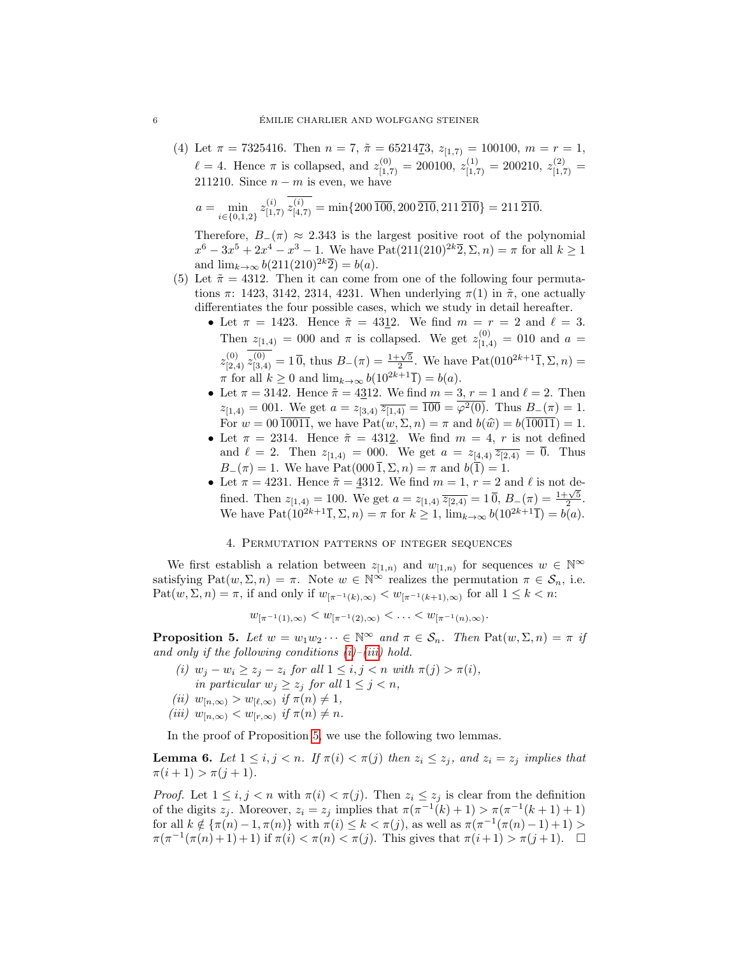(4) Let  $\pi = 7325416$ . Then  $n = 7$ ,  $\tilde{\pi} = 6521423$ ,  $z_{[1,7)} = 100100$ ,  $m = r = 1$ ,  $\ell = 4$ . Hence  $\pi$  is collapsed, and  $z_{[1,7)}^{(0)} = 200100$ ,  $z_{[1,7)}^{(1)} = 200210$ ,  $z_{[1,7)}^{(2)} =$ 211210. Since  $n - m$  is even, we have

$$
a = \min_{i \in \{0, 1, 2\}} z_{[1, 7)}^{(i)} \overline{z_{[4, 7)}^{(i)}} = \min\{200\,\overline{100}, 200\,\overline{210}, 211\,\overline{210}\} = 211\,\overline{210}.
$$

Therefore,  $B_-(\pi) \approx 2.343$  is the largest positive root of the polynomial  $x^6 - 3x^5 + 2x^4 - x^3 - 1$ . We have  $Pat(211(210)^{2k} \overline{2}, \Sigma, n) = \pi$  for all  $k \ge 1$ and  $\lim_{k \to \infty} b(211(210)^{2k}\overline{2}) = b(a)$ .

- (5) Let  $\tilde{\pi} = 4312$ . Then it can come from one of the following four permutations  $\pi$ : 1423, 3142, 2314, 4231. When underlying  $\pi(1)$  in  $\tilde{\pi}$ , one actually differentiates the four possible cases, which we study in detail hereafter.
	- Let  $\pi = 1423$ . Hence  $\tilde{\pi} = 4312$ . We find  $m = r = 2$  and  $\ell = 3$ . Then  $z_{[1,4)} = 000$  and  $\pi$  is collapsed. We get  $z_{[1,4)}^{(0)} = 010$  and  $a =$  $z_{[2,4)}^{(0)}$   $\overline{z_{[3,4)}^{(0)}} = 1 \overline{0}$ , thus  $B_-(\pi) = \frac{1+\sqrt{5}}{2}$ . We have Pat $(0.10^{2k+1} \overline{1}, \Sigma, n) =$  $\pi$  for all  $k \geq 0$  and  $\lim_{k \to \infty} b(10^{2k+1}) = b(a)$ .
	- Let  $\pi = 3142$ . Hence  $\tilde{\pi} = 4312$ . We find  $m = 3$ ,  $r = 1$  and  $\ell = 2$ . Then  $z_{[1,4)} = 001$ . We get  $a = z_{[3,4)} \overline{z_{[1,4)}} = \overline{100} = \overline{\varphi^2(0)}$ . Thus  $B_-(\pi) = 1$ . For  $w = 00 \overline{10011}$ , we have  $Pat(w, \Sigma, n) = \pi$  and  $b(\hat{w}) = b(\overline{10011}) = 1$ .
	- Let  $\pi = 2314$ . Hence  $\tilde{\pi} = 4312$ . We find  $m = 4$ , r is not defined and  $\ell = 2$ . Then  $z_{[1,4)} = 000$ . We get  $a = z_{[4,4)} \overline{z_{[2,4)}} = \overline{0}$ . Thus  $B_-(\pi) = 1$ . We have  $\text{Pat}(000\overline{1}, \Sigma, n) = \pi$  and  $b(\overline{1}) = 1$ .
	- Let  $\pi = 4231$ . Hence  $\tilde{\pi} = 4312$ . We find  $m = 1$ ,  $r = 2$  and  $\ell$  is not defined. Then  $z_{[1,4)} = 100$ . We get  $a = z_{[1,4)} \overline{z_{[2,4)}} = 1\overline{0}$ ,  $B_-(\pi) = \frac{1+\sqrt{5}}{2}$ . We have  $\text{Pat}(10^{2k+1}\overline{1}, \Sigma, n) = \pi$  for  $k \ge 1$ ,  $\lim_{k \to \infty} b(10^{2k+1}\overline{1}) = b(a)$ .

## 4. Permutation patterns of integer sequences

We first establish a relation between  $z_{[1,n)}$  and  $w_{[1,n)}$  for sequences  $w \in \mathbb{N}^{\infty}$ satisfying Pat $(w, \Sigma, n) = \pi$ . Note  $w \in \mathbb{N}^{\infty}$  realizes the permutation  $\pi \in \mathcal{S}_n$ , i.e.  $\text{Pat}(w, \Sigma, n) = \pi$ , if and only if  $w_{[\pi^{-1}(k), \infty)} < w_{[\pi^{-1}(k+1), \infty)}$  for all  $1 \leq k < n$ :

 $w_{[\pi^{-1}(1),\infty)} < w_{[\pi^{-1}(2),\infty)} < \ldots < w_{[\pi^{-1}(n),\infty)}$ .

<span id="page-5-2"></span>**Proposition 5.** Let  $w = w_1w_2 \cdots \in \mathbb{N}^{\infty}$  and  $\pi \in \mathcal{S}_n$ . Then  $\text{Pat}(w, \Sigma, n) = \pi$  if and only if the following conditions  $(i)$ – $(iii)$  hold.

- <span id="page-5-0"></span>(i)  $w_j - w_i \ge z_j - z_i$  for all  $1 \le i, j < n$  with  $\pi(j) > \pi(i)$ , in particular  $w_j \geq z_j$  for all  $1 \leq j < n$ , (ii)  $w_{[n,\infty)} > w_{[\ell,\infty)}$  if  $\pi(n) \neq 1$ ,
- <span id="page-5-4"></span><span id="page-5-1"></span>(iii)  $w_{[n,\infty)} < w_{[r,\infty)}$  if  $\pi(n) \neq n$ .

In the proof of Proposition [5,](#page-5-2) we use the following two lemmas.

<span id="page-5-3"></span>**Lemma 6.** Let  $1 \leq i, j \leq n$ . If  $\pi(i) \leq \pi(j)$  then  $z_i \leq z_j$ , and  $z_i = z_j$  implies that  $\pi(i+1) > \pi(j+1).$ 

*Proof.* Let  $1 \leq i, j < n$  with  $\pi(i) < \pi(j)$ . Then  $z_i \leq z_j$  is clear from the definition of the digits  $z_j$ . Moreover,  $z_i = z_j$  implies that  $\pi(\pi^{-1}(k) + 1) > \pi(\pi^{-1}(k+1) + 1)$ for all  $k \notin {\pi(n) - 1, \pi(n)}$  with  $\pi(i) \leq k < \pi(j)$ , as well as  $\pi(\pi^{-1}(\pi(n) - 1) + 1)$  $\pi(\pi^{-1}(\pi(n)+1)+1)$  if  $\pi(i) < \pi(n) < \pi(j)$ . This gives that  $\pi(i+1) > \pi(j+1)$ .  $\Box$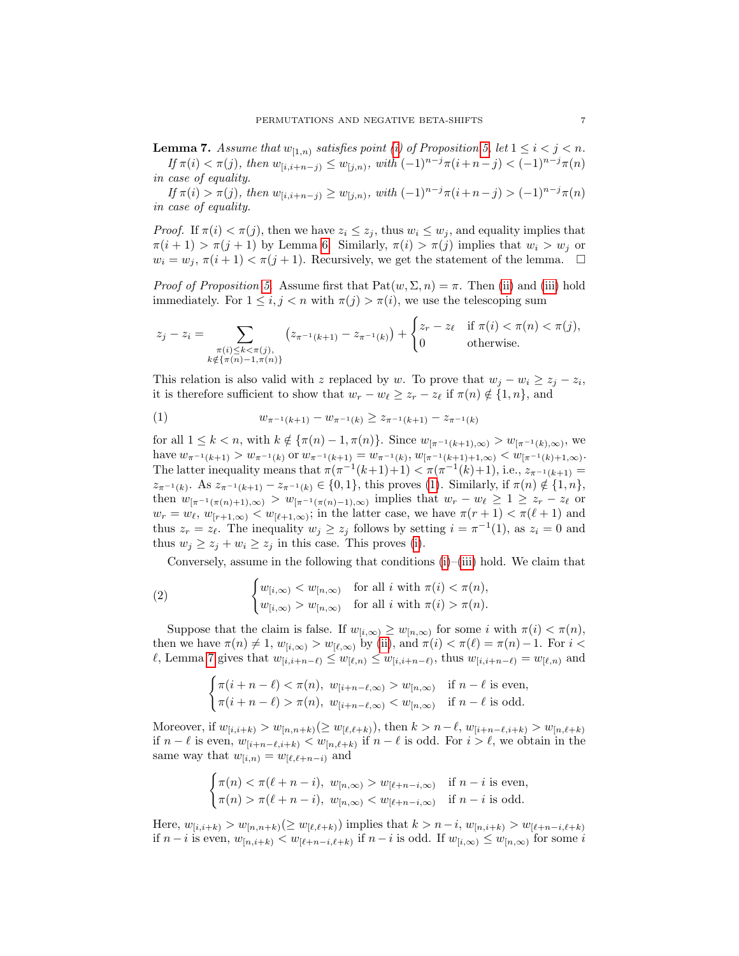<span id="page-6-1"></span>**Lemma 7.** Assume that  $w_{[1,n)}$  satisfies point [\(i\)](#page-5-0) of Proposition [5,](#page-5-2) let  $1 \leq i < j < n$ . If  $\pi(i) < \pi(j)$ , then  $w_{[i,i+n-j)} \le w_{[j,n)}$ , with  $(-1)^{n-j}\pi(i+n-j) < (-1)^{n-j}\pi(n)$ in case of equality.

If  $\pi(i) > \pi(j)$ , then  $w_{[i,i+n-j]} \ge w_{[j,n)}$ , with  $(-1)^{n-j}\pi(i+n-j) > (-1)^{n-j}\pi(n)$ in case of equality.

*Proof.* If  $\pi(i) < \pi(j)$ , then we have  $z_i \leq z_j$ , thus  $w_i \leq w_j$ , and equality implies that  $\pi(i+1) > \pi(j+1)$  by Lemma [6.](#page-5-3) Similarly,  $\pi(i) > \pi(j)$  implies that  $w_i > w_j$  or  $w_i = w_j$ ,  $\pi(i+1) < \pi(j+1)$ . Recursively, we get the statement of the lemma.  $\Box$ 

*Proof of Proposition [5.](#page-5-2)* Assume first that  $Pat(w, \Sigma, n) = \pi$ . Then [\(ii\)](#page-5-4) and [\(iii\)](#page-5-1) hold immediately. For  $1 \leq i, j < n$  with  $\pi(j) > \pi(i)$ , we use the telescoping sum

$$
z_j - z_i = \sum_{\substack{\pi(i) \le k < \pi(j), \\ k \notin \{\pi(n) - 1, \pi(n)\}}} \left( z_{\pi^{-1}(k+1)} - z_{\pi^{-1}(k)} \right) + \begin{cases} z_r - z_\ell & \text{if } \pi(i) < \pi(n) < \pi(j), \\ 0 & \text{otherwise.} \end{cases}
$$

This relation is also valid with z replaced by w. To prove that  $w_j - w_i \ge z_j - z_i$ , it is therefore sufficient to show that  $w_r - w_\ell \geq z_r - z_\ell$  if  $\pi(n) \notin \{1, n\}$ , and

<span id="page-6-0"></span>(1) 
$$
w_{\pi^{-1}(k+1)} - w_{\pi^{-1}(k)} \ge z_{\pi^{-1}(k+1)} - z_{\pi^{-1}(k)}
$$

for all  $1 \leq k < n$ , with  $k \notin {\pi(n) - 1, \pi(n)}$ . Since  $w_{\pi^{-1}(k+1), \infty} > w_{\pi^{-1}(k), \infty}$ , we have  $w_{\pi^{-1}(k+1)} > w_{\pi^{-1}(k)}$  or  $w_{\pi^{-1}(k+1)} = w_{\pi^{-1}(k)}, w_{[\pi^{-1}(k+1)+1,\infty)} < w_{[\pi^{-1}(k)+1,\infty)}$ . The latter inequality means that  $\pi(\pi^{-1}(k+1)+1) < \pi(\pi^{-1}(k)+1)$ , i.e.,  $z_{\pi^{-1}(k+1)} =$  $z_{\pi^{-1}(k)}$ . As  $z_{\pi^{-1}(k+1)} - z_{\pi^{-1}(k)} \in \{0,1\}$ , this proves [\(1\)](#page-6-0). Similarly, if  $\pi(n) \notin \{1,n\}$ , then  $w_{\lceil \pi^{-1}(\pi(n)+1),\infty)} > w_{\lceil \pi^{-1}(\pi(n)-1),\infty)}$  implies that  $w_r - w_\ell \geq 1 \geq z_r - z_\ell$  or  $w_r = w_\ell, w_{[r+1,\infty)} < w_{[\ell+1,\infty)}$ ; in the latter case, we have  $\pi(r+1) < \pi(\ell+1)$  and thus  $z_r = z_\ell$ . The inequality  $w_j \ge z_j$  follows by setting  $i = \pi^{-1}(1)$ , as  $z_i = 0$  and thus  $w_j \geq z_j + w_i \geq z_j$  in this case. This proves [\(i\)](#page-5-0).

<span id="page-6-2"></span>Conversely, assume in the following that conditions [\(i\)](#page-5-0)–[\(iii\)](#page-5-1) hold. We claim that

(2) 
$$
\begin{cases} w_{[i,\infty)} < w_{[n,\infty)} & \text{for all } i \text{ with } \pi(i) < \pi(n), \\ w_{[i,\infty)} > w_{[n,\infty)} & \text{for all } i \text{ with } \pi(i) > \pi(n). \end{cases}
$$

Suppose that the claim is false. If  $w_{[i,\infty)} \geq w_{[n,\infty)}$  for some i with  $\pi(i) < \pi(n)$ , then we have  $\pi(n) \neq 1$ ,  $w_{[i,\infty)} > w_{[\ell,\infty)}$  by [\(ii\)](#page-5-4), and  $\pi(i) < \pi(\ell) = \pi(n)-1$ . For  $i <$  $\ell$ , Lemma [7](#page-6-1) gives that  $w_{[i,i+n-\ell)} \leq w_{[\ell,n)} \leq w_{[i,i+n-\ell)}$ , thus  $w_{[i,i+n-\ell)} = w_{[\ell,n)}$  and

$$
\begin{cases} \pi(i+n-\ell) < \pi(n), \ w_{[i+n-\ell,\infty)} > w_{[n,\infty)} \quad \text{if } n-\ell \text{ is even,} \\ \pi(i+n-\ell) > \pi(n), \ w_{[i+n-\ell,\infty)} < w_{[n,\infty)} \quad \text{if } n-\ell \text{ is odd.} \end{cases}
$$

Moreover, if  $w_{[i,i+k)} > w_{[n,n+k)} (\geq w_{[\ell,\ell+k)}),$  then  $k > n-\ell$ ,  $w_{[i+n-\ell,i+k)} > w_{[n,\ell+k)}$ if  $n - \ell$  is even,  $w_{[i+n-\ell,i+k)} < w_{[n,\ell+k)}$  if  $n - \ell$  is odd. For  $i > \ell$ , we obtain in the same way that  $w_{[i,n)} = w_{[\ell,\ell+n-i)}$  and

$$
\begin{cases} \pi(n) < \pi(\ell+n-i), \ w_{[n,\infty)} > w_{[\ell+n-i,\infty)} \quad \text{if } n-i \text{ is even,} \\ \pi(n) > \pi(\ell+n-i), \ w_{[n,\infty)} < w_{[\ell+n-i,\infty)} \quad \text{if } n-i \text{ is odd.} \end{cases}
$$

Here,  $w_{[i,i+k)} > w_{[n,n+k)} (\geq w_{[\ell,\ell+k)})$  implies that  $k > n-i$ ,  $w_{[n,i+k)} > w_{[\ell+n-i,\ell+k)}$ if  $n-i$  is even,  $w_{[n,i+k)} < w_{[\ell+n-i,\ell+k)}$  if  $n-i$  is odd. If  $w_{[i,\infty)} \leq w_{[n,\infty)}$  for some i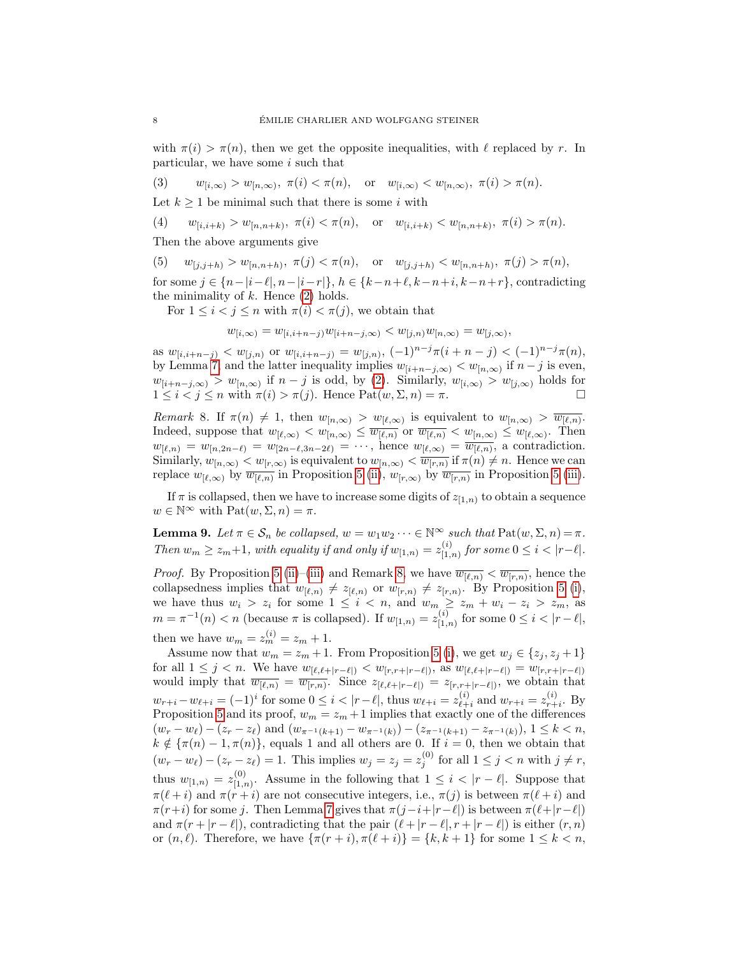with  $\pi(i) > \pi(n)$ , then we get the opposite inequalities, with  $\ell$  replaced by r. In particular, we have some  $i$  such that

<span id="page-7-1"></span>(3)  $w_{[i,\infty)} > w_{[n,\infty)}$ ,  $\pi(i) < \pi(n)$ , or  $w_{[i,\infty)} < w_{[n,\infty)}$ ,  $\pi(i) > \pi(n)$ .

Let  $k \geq 1$  be minimal such that there is some i with

<span id="page-7-2"></span>(4) 
$$
w_{[i,i+k)} > w_{[n,n+k)}, \ \pi(i) < \pi(n), \quad \text{or} \quad w_{[i,i+k)} < w_{[n,n+k)}, \ \pi(i) > \pi(n).
$$

Then the above arguments give

<span id="page-7-3"></span>(5)  $w_{[j,j+h)} > w_{[n,n+h)}, \ \pi(j) < \pi(n), \text{ or } w_{[j,j+h)} < w_{[n,n+h)}, \ \pi(j) > \pi(n),$ 

for some  $j \in \{n-|i-\ell|, n-|i-r|\}, h \in \{k-n+\ell, k-n+i, k-n+r\},$  contradicting the minimality of  $k$ . Hence  $(2)$  holds.

For  $1 \leq i < j \leq n$  with  $\pi(i) < \pi(j)$ , we obtain that

 $w_{[i,\infty)} = w_{[i,i+n-j)}w_{[i+n-j,\infty)} < w_{[j,n)}w_{[n,\infty)} = w_{[j,\infty)},$ 

as  $w_{[i,i+n-j)} < w_{[j,n)}$  or  $w_{[i,i+n-j)} = w_{[j,n)}$ ,  $(-1)^{n-j} \pi(i+n-j) < (-1)^{n-j} \pi(n)$ , by Lemma [7,](#page-6-1) and the latter inequality implies  $w_{[i+n-j,\infty)} < w_{[n,\infty)}$  if  $n-j$  is even,  $w_{[i+n-j,\infty)} > w_{[n,\infty)}$  if  $n-j$  is odd, by [\(2\)](#page-6-2). Similarly,  $w_{[i,\infty)} > w_{[j,\infty)}$  holds for  $1 \leq i < j \leq n$  with  $\pi(i) > \pi(j)$ . Hence  $\text{Pat}(w, \Sigma, n) = \pi$ .

<span id="page-7-0"></span>Remark 8. If  $\pi(n) \neq 1$ , then  $w_{[n,\infty)} > w_{[\ell,\infty)}$  is equivalent to  $w_{[n,\infty)} > \overline{w_{[\ell,n)}}$ . Indeed, suppose that  $w_{[\ell,\infty)} < w_{[n,\infty)} \leq \overline{w_{[\ell,n)}}$  or  $\overline{w_{[\ell,n)}} < w_{[n,\infty)} \leq w_{[\ell,\infty)}$ . Then  $w_{\lbrack \ell,n)} = w_{\lbrack n,2n-\ell)} = w_{\lbrack 2n-\ell,3n-2\ell)} = \cdots$ , hence  $w_{\lbrack \ell,\infty)} = \overline{w_{\lbrack \ell,n)}}$ , a contradiction. Similarly,  $w_{[n,\infty)} < w_{[r,\infty)}$  is equivalent to  $w_{[n,\infty)} < \overline{w_{[r,n)}}$  if  $\pi(n) \neq n$ . Hence we can replace  $w_{\lbrack \ell,\infty)}$  by  $\overline{w_{\lbrack \ell,n)}}$  in Proposition [5](#page-5-2) [\(ii\)](#page-5-4),  $w_{\lbrack r,\infty)}$  by  $\overline{w_{\lbrack r,n)}}$  in Proposition 5 [\(iii\)](#page-5-1).

If  $\pi$  is collapsed, then we have to increase some digits of  $z_{[1,n)}$  to obtain a sequence  $w \in \mathbb{N}^{\infty}$  with  $Pat(w, \Sigma, n) = \pi$ .

<span id="page-7-4"></span>**Lemma 9.** Let  $\pi \in S_n$  be collapsed,  $w = w_1w_2 \cdots \in \mathbb{N}^{\infty}$  such that  $\text{Pat}(w, \Sigma, n) = \pi$ . Then  $w_m \geq z_m+1$ , with equality if and only if  $w_{[1,n)} = z_{[1,n]}^{(i)}$  $\sum_{[1,n)}^{(i)}$  for some  $0 \leq i < |r-\ell|.$ 

*Proof.* By Proposition [5](#page-5-2) [\(ii\)](#page-5-4)–[\(iii\)](#page-5-1) and Remark [8,](#page-7-0) we have  $\overline{w_{[\ell,n)}} < \overline{w_{[r,n)}}$ , hence the collapsedness implies that  $w_{[\ell,n)} \neq z_{[\ell,n)}$  or  $w_{[r,n)} \neq z_{[r,n)}$ . By Proposition [5](#page-5-2) [\(i\)](#page-5-0), we have thus  $w_i > z_i$  for some  $1 \leq i < n$ , and  $w_m \geq z_m + w_i - z_i > z_m$ , as  $m = \pi^{-1}(n) < n$  (because  $\pi$  is collapsed). If  $w_{[1,n)} = z_{[1,n]}^{(i)}$  $\sum_{[1,n)}^{(i)}$  for some  $0 \leq i < |r - \ell|$ , then we have  $w_m = z_m^{(i)} = z_m + 1$ .

Assume now that  $w_m = z_m + 1$ . From Proposition [5](#page-5-2) [\(i\)](#page-5-0), we get  $w_j \in \{z_j, z_j + 1\}$ for all  $1 \leq j < n$ . We have  $w_{\lbrack \ell,\ell+|r-\ell|)} < w_{\lbrack r,r+|r-\ell|)}$ , as  $w_{\lbrack \ell,\ell+|r-\ell|)} = w_{\lbrack r,r+|r-\ell|)}$ would imply that  $\overline{w_{\lbrack \ell,n\rbrack}} = \overline{w_{\lbrack r,n\rbrack}}$ . Since  $z_{\lbrack \ell,\ell+\lbrack r-\ell \rbrack} = z_{\lbrack r,r+\lbrack r-\ell \rbrack}$ , we obtain that  $w_{r+i} - w_{\ell+i} = (-1)^i$  for some  $0 \leq i < |r-\ell|$ , thus  $w_{\ell+i} = z_{\ell+i}^{(i)}$  $_{\ell+i}^{(i)}$  and  $w_{r+i} = z_{r+i}^{(i)}$ . By Proposition [5](#page-5-2) and its proof,  $w_m = z_m + 1$  implies that exactly one of the differences  $(w_r - w_\ell) - (z_r - z_\ell)$  and  $(w_{\pi^{-1}(k+1)} - w_{\pi^{-1}(k)}) - (z_{\pi^{-1}(k+1)} - z_{\pi^{-1}(k)}), 1 \leq k < n$ ,  $k \notin {\pi(n-1,\pi(n)}$ , equals 1 and all others are 0. If  $i=0$ , then we obtain that  $(w_r - w_\ell) - (z_r - z_\ell) = 1$ . This implies  $w_j = z_j = z_j^{(0)}$  for all  $1 \le j < n$  with  $j \ne r$ , thus  $w_{[1,n)} = z_{[1,n]}^{(0)}$  $[1, n)$ . Assume in the following that  $1 \leq i < |r - \ell|$ . Suppose that  $\pi(\ell + i)$  and  $\pi(r + i)$  are not consecutive integers, i.e.,  $\pi(j)$  is between  $\pi(\ell + i)$  and  $\pi(r+i)$  for some j. Then Lemma [7](#page-6-1) gives that  $\pi(j-i+|r-\ell|)$  is between  $\pi(\ell+|r-\ell|)$ and  $\pi(r + |r - \ell|)$ , contradicting that the pair  $(\ell + |r - \ell|, r + |r - \ell|)$  is either  $(r, n)$ or  $(n, \ell)$ . Therefore, we have  $\{\pi(r + i), \pi(\ell + i)\} = \{k, k + 1\}$  for some  $1 \leq k < n$ ,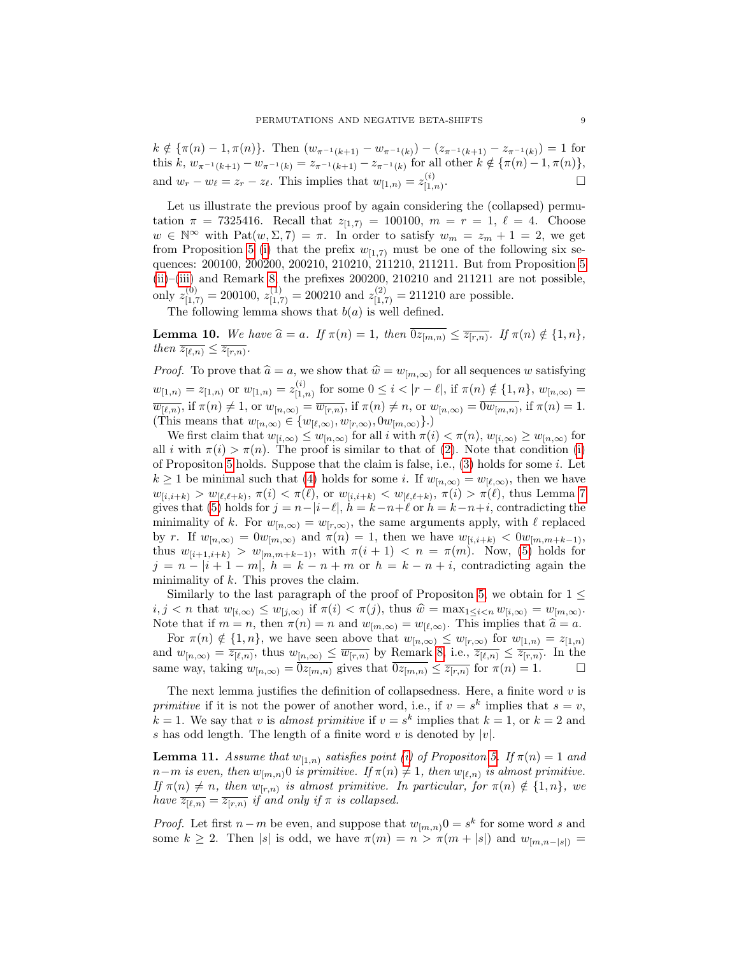$k \notin {\pi(n)-1,\pi(n)}$ . Then  $(w_{\pi^{-1}(k+1)} - w_{\pi^{-1}(k)}) - (z_{\pi^{-1}(k+1)} - z_{\pi^{-1}(k)}) = 1$  for this k,  $w_{\pi^{-1}(k+1)} - w_{\pi^{-1}(k)} = z_{\pi^{-1}(k+1)} - z_{\pi^{-1}(k)}$  for all other  $k \notin {\pi(n) - 1, \pi(n)}$ , and  $w_r - w_\ell = z_r - z_\ell$ . This implies that  $w_{[1,n)} = z_{[1,n]}^{(i)}$  $[1,n)$ . — Первый профессиональный профессиональный профессиональный профессиональный профессиональный профессиональн<br>В профессиональный профессиональный профессиональный профессиональный профессиональный профессиональный профес

Let us illustrate the previous proof by again considering the (collapsed) permutation  $\pi = 7325416$ . Recall that  $z_{[1,7)} = 100100$ ,  $m = r = 1$ ,  $\ell = 4$ . Choose  $w \in \mathbb{N}^{\infty}$  with  $Pat(w, \Sigma, 7) = \pi$ . In order to satisfy  $w_m = z_m + 1 = 2$ , we get from Proposition [5](#page-5-2) [\(i\)](#page-5-0) that the prefix  $w_{[1,7)}$  must be one of the following six sequences: 200100, 200200, 200210, 210210, 211210, 211211. But from Proposition [5](#page-5-2) [\(ii\)](#page-5-4)–[\(iii\)](#page-5-1) and Remark [8,](#page-7-0) the prefixes 200200, 210210 and 211211 are not possible, only  $z_{[1,7)}^{(0)} = 200100$ ,  $z_{[1,7)}^{(1)} = 200210$  and  $z_{[1,7)}^{(2)} = 211210$  are possible.

The following lemma shows that  $b(a)$  is well defined.

<span id="page-8-0"></span>**Lemma 10.** We have  $\widehat{a} = a$ . If  $\pi(n) = 1$ , then  $\overline{0z_{[m,n)}} \leq \overline{z_{[r,n)}}$ . If  $\pi(n) \notin \{1, n\}$ , then  $\overline{z_{i+1}} \leq \overline{z_{i+1}}$ then  $\overline{z_{[\ell,n)}} \leq \overline{z_{[r,n)}}$ .

*Proof.* To prove that  $\hat{a} = a$ , we show that  $\hat{w} = w_{[m,\infty)}$  for all sequences w satisfying  $w_{[1,n)} = z_{[1,n)}$  or  $w_{[1,n)} = z_{[1,n]}^{(i)}$  $\sum_{[1,n)}^{(i)}$  for some  $0 \leq i < |r - \ell|$ , if  $\pi(n) \notin \{1, n\}$ ,  $w_{[n,\infty)} =$  $\overline{w_{[\ell,n)}},$  if  $\pi(n) \neq 1$ , or  $w_{[n,\infty)} = \overline{w_{[r,n)}},$  if  $\pi(n) \neq n$ , or  $w_{[n,\infty)} = \overline{0w_{[m,n)}},$  if  $\pi(n) = 1$ . (This means that  $w_{[n,\infty)} \in \{w_{[\ell,\infty)}, w_{[r,\infty)}, 0w_{[m,\infty)}\}$ .)

We first claim that  $w_{[i,\infty)} \leq w_{[n,\infty)}$  for all i with  $\pi(i) < \pi(n), w_{[i,\infty)} \geq w_{[n,\infty)}$  for all *i* with  $\pi(i) > \pi(n)$  $\pi(i) > \pi(n)$  $\pi(i) > \pi(n)$ . The proof is similar to that of [\(2\)](#page-6-2). Note that condition (i) of Propositon [5](#page-5-2) holds. Suppose that the claim is false, i.e.,  $(3)$  holds for some i. Let  $k \geq 1$  be minimal such that [\(4\)](#page-7-2) holds for some *i*. If  $w_{[n,\infty)} = w_{[\ell,\infty)}$ , then we have  $w_{[i,i+k)} > w_{[\ell,\ell+k)}, \pi(i) < \pi(\ell),$  or  $w_{[i,i+k)} < w_{[\ell,\ell+k)}, \pi(i) > \pi(\ell)$ , thus Lemma [7](#page-6-1) gives that [\(5\)](#page-7-3) holds for  $j = n-|i-\ell|, h = k-n+\ell$  or  $h = k-n+i$ , contradicting the minimality of k. For  $w_{[n,\infty)} = w_{[r,\infty)}$ , the same arguments apply, with  $\ell$  replaced by r. If  $w_{[n,\infty)} = 0$  $w_{[m,\infty)}$  and  $\pi(n) = 1$ , then we have  $w_{[i,i+k)} < 0$  $w_{[m,m+k-1)}$ , thus  $w_{[i+1,i+k)} > w_{[m,m+k-1)}$ , with  $\pi(i+1) < n = \pi(m)$ . Now, [\(5\)](#page-7-3) holds for  $j = n - |i + 1 - m|$ ,  $h = k - n + m$  or  $h = k - n + i$ , contradicting again the minimality of k. This proves the claim.

Similarly to the last paragraph of the proof of Propositon [5,](#page-5-2) we obtain for  $1 \leq$  $i, j < n$  that  $w_{[i,\infty)} \leq w_{[j,\infty)}$  if  $\pi(i) < \pi(j)$ , thus  $\widehat{w} = \max_{1 \leq i < n} w_{[i,\infty)} = w_{[m,\infty)}$ .<br>Note that if  $m = n$ , then  $\pi(n) = n$  and  $w_{[i,\infty)} = w_{[i,\infty)}$ . This implies that  $\widehat{z} = a$ . Note that if  $m = n$ , then  $\pi(n) = n$  and  $w_{[m,\infty)} = w_{[\ell,\infty)}$ . This implies that  $\hat{a} = a$ .<br>For  $\pi(n) \notin \{1, n\}$ , we have some shown that  $w_{[m,\infty)} \leq w_{[m,\infty)}$  for  $w_{[m,\infty)} = z$ .

For  $\pi(n) \notin \{1,n\}$ , we have seen above that  $w_{[n,\infty)} \leq w_{[r,\infty)}$  for  $w_{[1,n)} = z_{[1,n]}$ and  $w_{[n,\infty)} = \overline{z_{[\ell,n]}},$  thus  $w_{[n,\infty)} \leq \overline{w_{[r,n)}}$  by Remark [8,](#page-7-0) i.e.,  $\overline{z_{[\ell,n)}} \leq \overline{z_{[r,n)}}$ . In the same way, taking  $w_{[n,\infty)} = \overline{\mathfrak{d}z_{[m,n)}}$  gives that  $\overline{\mathfrak{d}z_{[m,n)}} \le \overline{z_{[r,n)}}$  for  $\pi(n) = 1$ .

The next lemma justifies the definition of collapsedness. Here, a finite word  $v$  is primitive if it is not the power of another word, i.e., if  $v = s^k$  implies that  $s = v$ ,  $k = 1$ . We say that v is almost primitive if  $v = s^k$  implies that  $k = 1$ , or  $k = 2$  and s has odd length. The length of a finite word v is denoted by  $|v|$ .

<span id="page-8-1"></span>**Lemma 11.** Assume that  $w_{[1,n)}$  satisfies point [\(i\)](#page-5-0) of Propositon [5.](#page-5-2) If  $\pi(n) = 1$  and  $n-m$  is even, then  $w_{[m,n)}$  is primitive. If  $\pi(n) \neq 1$ , then  $w_{[\ell,n)}$  is almost primitive. If  $\pi(n) \neq n$ , then  $w_{[r,n)}$  is almost primitive. In particular, for  $\pi(n) \notin \{1,n\}$ , we have  $\overline{z_{[\ell,n)}} = \overline{z_{[r,n)}}$  if and only if  $\pi$  is collapsed.

*Proof.* Let first  $n - m$  be even, and suppose that  $w_{[m,n]}0 = s^k$  for some word s and some  $k \geq 2$ . Then |s| is odd, we have  $\pi(m) = n > \pi(m + |s|)$  and  $w_{[m,n-|s|)} =$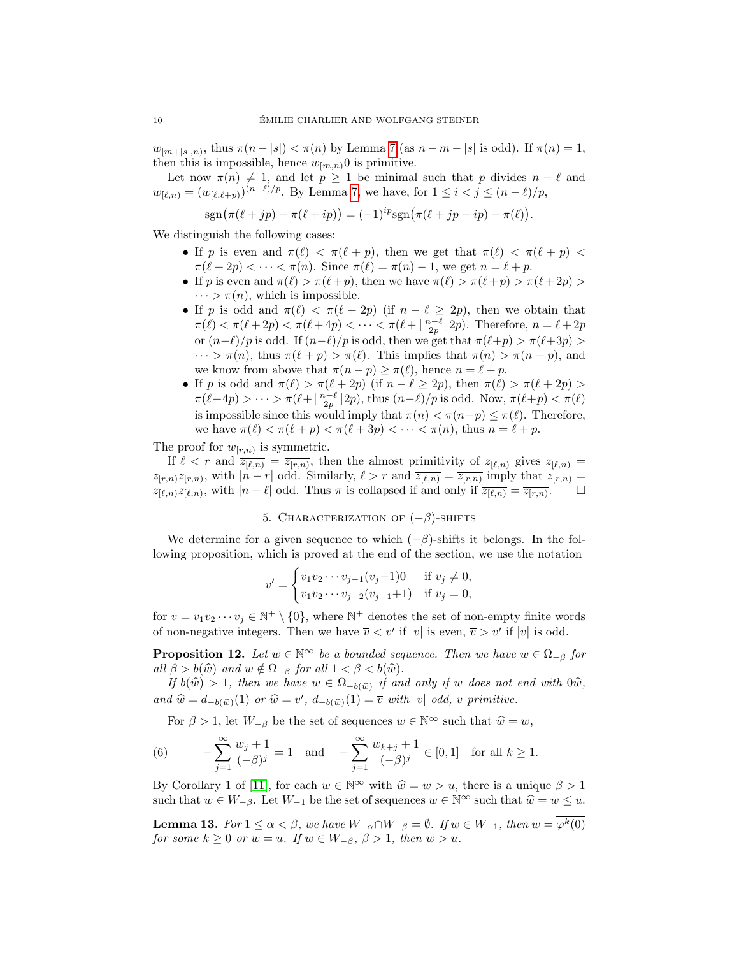$w_{[m+|s|,n)}$ , thus  $\pi(n-|s|) < \pi(n)$  by Lemma [7](#page-6-1) (as  $n-m-|s|$  is odd). If  $\pi(n)=1$ , then this is impossible, hence  $w_{[m,n)}$ 0 is primitive.

Let now  $\pi(n) \neq 1$ , and let  $p \geq 1$  be minimal such that p divides  $n - \ell$  and  $w_{\lbrack \ell,n)} = (w_{\lbrack \ell,\ell+p)}^{(n-\ell)/p}$ . By Lemma [7,](#page-6-1) we have, for  $1 \leq i < j \leq (n-\ell)/p$ ,

$$
sgn(\pi(\ell + jp) - \pi(\ell + ip)) = (-1)^{ip}sgn(\pi(\ell + jp - ip) - \pi(\ell)).
$$

We distinguish the following cases:

- If p is even and  $\pi(\ell) < \pi(\ell + p)$ , then we get that  $\pi(\ell) < \pi(\ell + p)$  $\pi(\ell + 2p) < \cdots < \pi(n)$ . Since  $\pi(\ell) = \pi(n) - 1$ , we get  $n = \ell + p$ .
- If p is even and  $\pi(\ell) > \pi(\ell+p)$ , then we have  $\pi(\ell) > \pi(\ell+p) > \pi(\ell+2p)$  $\cdots > \pi(n)$ , which is impossible.
- If p is odd and  $\pi(\ell) < \pi(\ell + 2p)$  (if  $n \ell \geq 2p$ ), then we obtain that  $\pi(\ell) < \pi(\ell + 2p) < \pi(\ell + 4p) < \cdots < \pi(\ell + \lfloor \frac{n-\ell}{2p} \rfloor 2p)$ . Therefore,  $n = \ell + 2p$ or  $(n-\ell)/p$  is odd. If  $(n-\ell)/p$  is odd, then we get that  $\pi(\ell+p) > \pi(\ell+3p) >$  $\cdots > \pi(n)$ , thus  $\pi(\ell + p) > \pi(\ell)$ . This implies that  $\pi(n) > \pi(n - p)$ , and we know from above that  $\pi(n - p) \geq \pi(\ell)$ , hence  $n = \ell + p$ .
- If p is odd and  $\pi(\ell) > \pi(\ell + 2p)$  (if  $n \ell \geq 2p$ ), then  $\pi(\ell) > \pi(\ell + 2p) >$  $\pi(\ell+4p) > \cdots > \pi(\ell+\lfloor \frac{n-\ell}{2p}\rfloor 2p)$ , thus  $(n-\ell)/p$  is odd. Now,  $\pi(\ell+p) < \pi(\ell)$ is impossible since this would imply that  $\pi(n) < \pi(n-p) \leq \pi(\ell)$ . Therefore, we have  $\pi(\ell) < \pi(\ell + p) < \pi(\ell + 3p) < \cdots < \pi(n)$ , thus  $n = \ell + p$ .

The proof for  $\overline{w_{[r,n)}}$  is symmetric.

If  $\ell < r$  and  $\overline{z_{[\ell,n)}} = \overline{z_{[r,n)}},$  then the almost primitivity of  $z_{[\ell,n)}$  gives  $z_{[\ell,n)} =$  $z_{[r,n)}z_{[r,n)}$ , with  $|n-r|$  odd. Similarly,  $\ell > r$  and  $\overline{z_{[\ell,n)}} = \overline{z_{[r,n)}}$  imply that  $z_{[r,n)} =$  $z_{[\ell,n)} z_{[\ell,n)}$ , with  $|n-\ell|$  odd. Thus  $\pi$  is collapsed if and only if  $\overline{z_{[\ell,n)}} = \overline{z_{[r,n)}}$ .

# 5. CHARACTERIZATION OF  $(-\beta)$ -SHIFTS

We determine for a given sequence to which  $(-\beta)$ -shifts it belongs. In the following proposition, which is proved at the end of the section, we use the notation

$$
v' = \begin{cases} v_1v_2 \cdots v_{j-1}(v_j-1)0 & \text{if } v_j \neq 0, \\ v_1v_2 \cdots v_{j-2}(v_{j-1}+1) & \text{if } v_j = 0, \end{cases}
$$

for  $v = v_1 v_2 \cdots v_j \in \mathbb{N}^+ \setminus \{0\}$ , where  $\mathbb{N}^+$  denotes the set of non-empty finite words of non-negative integers. Then we have  $\overline{v} < \overline{v'}$  if  $|v|$  is even,  $\overline{v} > \overline{v'}$  if  $|v|$  is odd.

<span id="page-9-2"></span>**Proposition 12.** Let  $w \in \mathbb{N}^{\infty}$  be a bounded sequence. Then we have  $w \in \Omega_{-\beta}$  for all  $\beta > b(\widehat{w})$  and  $w \notin \Omega_{-\beta}$  for all  $1 < \beta < b(\widehat{w})$ .

If  $b(\widehat{w}) > 1$ , then we have  $w \in \Omega_{-b(\widehat{w})}$  if and only if w does not end with  $0\widehat{w}$ , and  $\widehat{w} = d_{-b(\widehat{w})}(1)$  or  $\widehat{w} = \overline{v'}$ ,  $d_{-b(\widehat{w})}(1) = \overline{v}$  with  $|v|$  odd, v primitive.

<span id="page-9-0"></span>For  $\beta > 1$ , let  $W_{-\beta}$  be the set of sequences  $w \in \mathbb{N}^{\infty}$  such that  $\hat{w} = w$ ,

(6) 
$$
-\sum_{j=1}^{\infty} \frac{w_j+1}{(-\beta)^j} = 1 \text{ and } -\sum_{j=1}^{\infty} \frac{w_{k+j}+1}{(-\beta)^j} \in [0,1] \text{ for all } k \ge 1.
$$

By Corollary 1 of [\[11\]](#page-16-8), for each  $w \in \mathbb{N}^{\infty}$  with  $\hat{w} = w > u$ , there is a unique  $\beta > 1$ such that  $w \in W_{-\beta}$ . Let  $W_{-1}$  be the set of sequences  $w \in \mathbb{N}^{\infty}$  such that  $\widehat{w} = w \leq u$ .

<span id="page-9-1"></span>**Lemma 13.** For  $1 \leq \alpha < \beta$ , we have  $W_{-\alpha} \cap W_{-\beta} = \emptyset$ . If  $w \in W_{-1}$ , then  $w = \varphi^k(0)$ for some  $k \geq 0$  or  $w = u$ . If  $w \in W_{-\beta}$ ,  $\beta > 1$ , then  $w > u$ .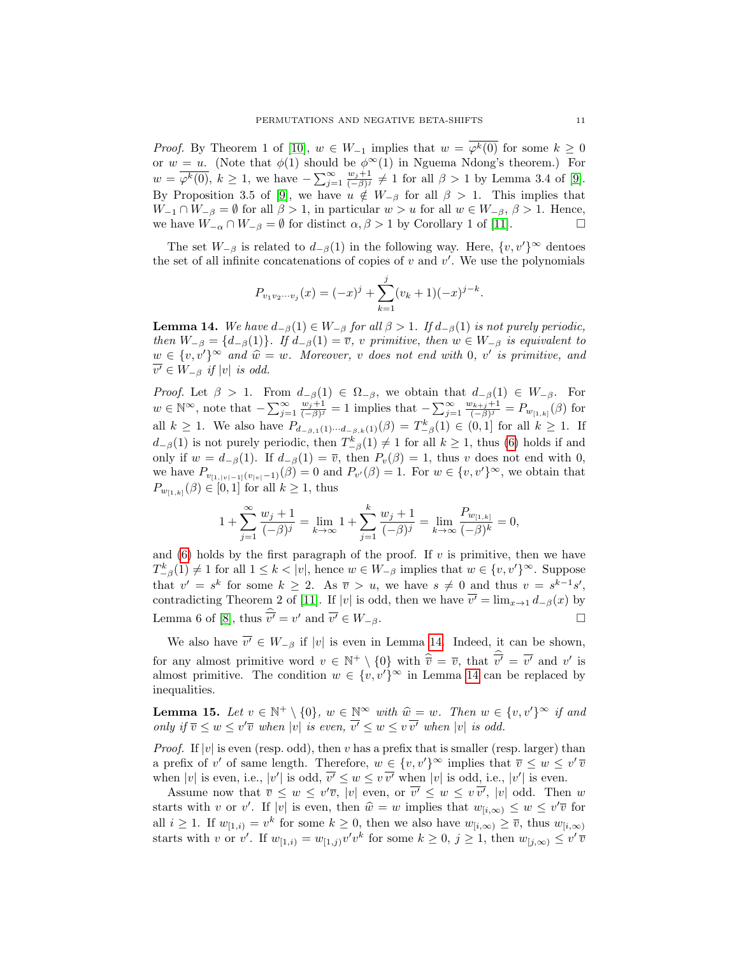*Proof.* By Theorem 1 of [\[10\]](#page-16-10),  $w \in W_{-1}$  implies that  $w = \overline{\varphi^k(0)}$  for some  $k \geq 0$ or  $w = u$ . (Note that  $\phi(1)$  should be  $\phi^{\infty}(1)$  in Nguema Ndong's theorem.) For  $w = \overline{\varphi^k(0)}$ ,  $k \ge 1$ , we have  $-\sum_{j=1}^{\infty} \frac{w_j+1}{(-\beta)^j} \ne 1$  for all  $\beta > 1$  by Lemma 3.4 of [\[9\]](#page-16-5). By Proposition 3.5 of [\[9\]](#page-16-5), we have  $u \notin W_{-\beta}$  for all  $\beta > 1$ . This implies that  $W_{-1} \cap W_{-\beta} = \emptyset$  for all  $\beta > 1$ , in particular  $w > u$  for all  $w \in W_{-\beta}, \beta > 1$ . Hence, we have  $W_{-\alpha} \cap W_{-\beta} = \emptyset$  for distinct  $\alpha, \beta > 1$  by Corollary 1 of [\[11\]](#page-16-8).

The set  $W_{-\beta}$  is related to  $d_{-\beta}(1)$  in the following way. Here,  $\{v, v'\}^{\infty}$  dentoes the set of all infinite concatenations of copies of  $v$  and  $v'$ . We use the polynomials

$$
P_{v_1v_2\cdots v_j}(x) = (-x)^j + \sum_{k=1}^j (v_k + 1)(-x)^{j-k}.
$$

<span id="page-10-0"></span>**Lemma 14.** We have  $d_{-\beta}(1) \in W_{-\beta}$  for all  $\beta > 1$ . If  $d_{-\beta}(1)$  is not purely periodic, then  $W_{-\beta} = \{d_{-\beta}(1)\}\text{. If } d_{-\beta}(1) = \overline{v}, \ v \text{ primitive, then } w \in W_{-\beta} \text{ is equivalent to }$  $w \in \{v, v'\}^{\infty}$  and  $\widehat{w} = w$ . Moreover, v does not end with 0, v' is primitive, and  $\overline{w'} \in W$ , at while and  $\overline{v'} \in W_{-\beta}$  if  $|v|$  is odd.

*Proof.* Let  $\beta > 1$ . From  $d_{-\beta}(1) \in \Omega_{-\beta}$ , we obtain that  $d_{-\beta}(1) \in W_{-\beta}$ . For  $w \in \mathbb{N}^{\infty}$ , note that  $-\sum_{j=1}^{\infty} \frac{w_j+1}{(-\beta)^j} = 1$  implies that  $-\sum_{j=1}^{\infty} \frac{w_{k+j}+1}{(-\beta)^j} = P_{w_{[1,k]}}(\beta)$  for all  $k \ge 1$ . We also have  $P_{d_{-\beta,1}(1)\cdots d_{-\beta,k}(1)}(\beta) = T_{-\beta}^k(1) \in (0,1]$  for all  $k \ge 1$ . If  $d_{-\beta}(1)$  is not purely periodic, then  $T_{-\beta}^k(1) \neq 1$  for all  $k \geq 1$ , thus [\(6\)](#page-9-0) holds if and only if  $w = d_{-\beta}(1)$ . If  $d_{-\beta}(1) = \overline{v}$ , then  $P_v(\beta) = 1$ , thus v does not end with 0, we have  $P_{v_{[1, |v|-1]}(v_{|v|}-1)}(\beta) = 0$  and  $P_{v'}(\beta) = 1$ . For  $w \in \{v, v'\}^{\infty}$ , we obtain that  $P_{w_{[1,k]}}(\beta) \in [0,1]$  for all  $k \geq 1$ , thus

$$
1 + \sum_{j=1}^{\infty} \frac{w_j + 1}{(-\beta)^j} = \lim_{k \to \infty} 1 + \sum_{j=1}^{k} \frac{w_j + 1}{(-\beta)^j} = \lim_{k \to \infty} \frac{P_{w_{[1,k]}}}{(-\beta)^k} = 0,
$$

and [\(6\)](#page-9-0) holds by the first paragraph of the proof. If  $v$  is primitive, then we have  $T_{-\beta}^k(1) \neq 1$  for all  $1 \leq k < |v|$ , hence  $w \in W_{-\beta}$  implies that  $w \in \{v, v'\}^{\infty}$ . Suppose that  $v' = s^k$  for some  $k \geq 2$ . As  $\overline{v} > u$ , we have  $s \neq 0$  and thus  $v = s^{k-1}s'$ , contradicting Theorem 2 of [\[11\]](#page-16-8). If |v| is odd, then we have  $\overline{v'} = \lim_{x\to 1} d_{-\beta}(x)$  by Lemma 6 of [\[8\]](#page-16-7), thus  $\overline{v'} = v'$  and  $\overline{v'} \in W_{-\beta}$ .

We also have  $\overline{v'} \in W_{-\beta}$  if  $|v|$  is even in Lemma [14.](#page-10-0) Indeed, it can be shown, for any almost primitive word  $v \in \mathbb{N}^+ \setminus \{0\}$  with  $\hat{\overline{v}} = \overline{v}$ , that  $\overline{v'} = \overline{v'}$  and  $v'$  is almost primitive. The condition  $w \in \{v, v'\}^{\infty}$  in Lemma [14](#page-10-0) can be replaced by inequalities.

<span id="page-10-1"></span>**Lemma 15.** Let  $v \in \mathbb{N}^+ \setminus \{0\}$ ,  $w \in \mathbb{N}^{\infty}$  with  $\widehat{w} = w$ . Then  $w \in \{v, v'\}^{\infty}$  if and  $\widehat{w}$  if  $\overline{w}$  if and  $\widehat{w}$  if  $\overline{w}$  if  $\overline{w}$  if  $\overline{w}$  if  $\overline{w}$  if  $\overline{w}$  if  $\overline{w}$  if  $\overline{w$ only if  $\overline{v} \leq w \leq v' \overline{v}$  when  $|v|$  is even,  $\overline{v'} \leq w \leq v \overline{v'}$  when  $|v|$  is odd.

*Proof.* If  $|v|$  is even (resp. odd), then v has a prefix that is smaller (resp. larger) than a prefix of v' of same length. Therefore,  $w \in \{v, v'\}^{\infty}$  implies that  $\overline{v} \leq w \leq v' \overline{v}$ when |v| is even, i.e., |v'| is odd,  $\overline{v'} \leq w \leq v \overline{v'}$  when |v| is odd, i.e., |v'| is even.

Assume now that  $\overline{v} \leq w \leq v' \overline{v}$ , |v| even, or  $\overline{v'} \leq w \leq v \overline{v'}$ , |v| odd. Then w starts with v or v'. If  $|v|$  is even, then  $\hat{w} = w$  implies that  $w_{[i,\infty)} \leq w \leq v' \overline{v}$  for all  $i \geq 1$ . If  $w_{[1,i)} = v^k$  for some  $k \geq 0$ , then we also have  $w_{[i,\infty)} \geq \overline{v}$ , thus  $w_{[i,\infty)}$ starts with v or v'. If  $w_{[1,i)} = w_{[1,j]}v'v^k$  for some  $k \geq 0, j \geq 1$ , then  $w_{[j,\infty)} \leq v' \overline{v}$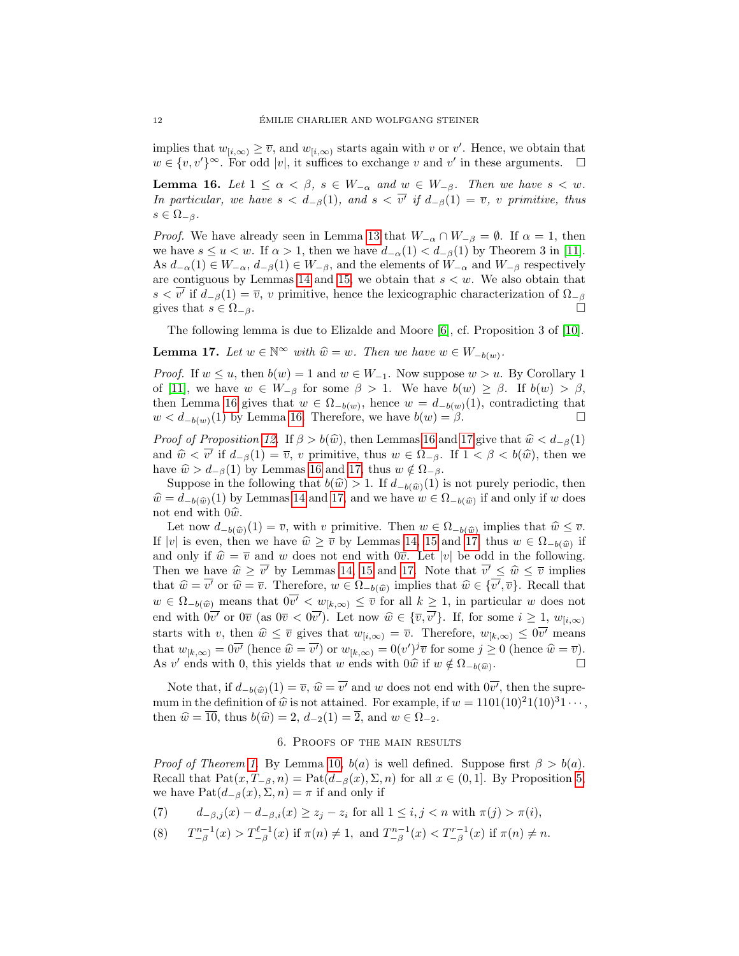implies that  $w_{[i,\infty)} \geq \overline{v}$ , and  $w_{[i,\infty)}$  starts again with v or v'. Hence, we obtain that  $w \in \{v, v'\}^{\infty}$ . For odd |v|, it suffices to exchange v and v' in these arguments.  $\square$ 

<span id="page-11-0"></span>**Lemma 16.** Let  $1 \leq \alpha < \beta$ ,  $s \in W_{-\alpha}$  and  $w \in W_{-\beta}$ . Then we have  $s < w$ . In particular, we have  $s < d_{-\beta}(1)$ , and  $s < \overline{v'}$  if  $d_{-\beta}(1) = \overline{v}$ , v primitive, thus  $s \in \Omega_{-\beta}$ .

*Proof.* We have already seen in Lemma [13](#page-9-1) that  $W_{-\alpha} \cap W_{-\beta} = \emptyset$ . If  $\alpha = 1$ , then we have  $s \le u < w$ . If  $\alpha > 1$ , then we have  $d_{-\alpha}(1) < d_{-\beta}(1)$  by Theorem 3 in [\[11\]](#page-16-8). As  $d_{-\alpha}(1) \in W_{-\alpha}$ ,  $d_{-\beta}(1) \in W_{-\beta}$ , and the elements of  $W_{-\alpha}$  and  $W_{-\beta}$  respectively are contiguous by Lemmas [14](#page-10-0) and [15,](#page-10-1) we obtain that  $s < w$ . We also obtain that  $s < \overline{v'}$  if  $d_{-\beta}(1) = \overline{v}$ , v primitive, hence the lexicographic characterization of  $\Omega_{-\beta}$ gives that  $s \in \Omega_{-\beta}$ .

The following lemma is due to Elizalde and Moore [\[6\]](#page-16-6), cf. Proposition 3 of [\[10\]](#page-16-10).

<span id="page-11-1"></span>**Lemma 17.** Let  $w \in \mathbb{N}^{\infty}$  with  $\widehat{w} = w$ . Then we have  $w \in W_{-b(w)}$ .

*Proof.* If  $w \le u$ , then  $b(w) = 1$  and  $w \in W_{-1}$ . Now suppose  $w > u$ . By Corollary 1 of [\[11\]](#page-16-8), we have  $w \in W_{-\beta}$  for some  $\beta > 1$ . We have  $b(w) \ge \beta$ . If  $b(w) > \beta$ , then Lemma [16](#page-11-0) gives that  $w \in \Omega_{-b(w)}$ , hence  $w = d_{-b(w)}(1)$ , contradicting that  $w < d_{-b(w)}(1)$  by Lemma [16.](#page-11-0) Therefore, we have  $b(w) = \beta$ .

*Proof of Proposition [12.](#page-9-2)* If  $\beta > b(\hat{w})$ , then Lemmas [16](#page-11-0) and [17](#page-11-1) give that  $\hat{w} < d_{-\beta}(1)$ and  $\hat{w} < \overline{v'}$  if  $d_{-\beta}(1) = \overline{v}$ , v primitive, thus  $w \in \Omega_{-\beta}$ . If  $1 < \beta < b(\hat{w})$ , then we have  $\hat{w} > d_{-\beta}(1)$  by Lammas 16 and 17 thus  $w \notin \Omega_{-\beta}$ . have  $\hat{w} > d_{-\beta}(1)$  by Lemmas [16](#page-11-0) and [17,](#page-11-1) thus  $w \notin \Omega_{-\beta}$ .

Suppose in the following that  $b(\hat{w}) > 1$ . If  $d_{-b(\hat{w})}(1)$  is not purely periodic, then  $\hat{w} = d_{-b(\hat{w})}(1)$  by Lemmas [14](#page-10-0) and [17,](#page-11-1) and we have  $w \in \Omega_{-b(\hat{w})}$  if and only if w does not end with  $0\hat{w}$ .

Let now  $d_{-b(\widehat{w})}(1) = \overline{v}$ , with v primitive. Then  $w \in \Omega_{-b(\widehat{w})}$  implies that  $\widehat{w} \leq \overline{v}$ . If |v| is even, then we have  $\hat{w} \geq \overline{v}$  by Lemmas [14,](#page-10-0) [15](#page-10-1) and [17,](#page-11-1) thus  $w \in \Omega_{-b(\hat{w})}$  if and only if  $\hat{w} = \overline{v}$  and w does not end with  $0\overline{v}$ . Let  $|v|$  be odd in the following. Then we have  $\widehat{w} \geq \overline{v'}$  by Lemmas [14,](#page-10-0) [15](#page-10-1) and [17.](#page-11-1) Note that  $\overline{v'} \leq \widehat{w} \leq \overline{v}$  implies<br>that  $\widehat{w} = \overline{v'}$  or  $\widehat{w} = \overline{v}$ . Therefore,  $w \in \Omega$ , see implies that  $\widehat{w} \in I_{\overline{v'}}$   $\overline{v}$ . Recall that that  $\hat{w} = \overline{v'}$  or  $\hat{w} = \overline{v}$ . Therefore,  $w \in \Omega_{-b(\hat{w})}$  implies that  $\hat{w} \in {\overline{v'}}, \overline{v}$ . Recall that  $w \in \Omega_{-b(\widehat{w})}$  means that  $0\overline{v'} \lt w_{[k,\infty)} \leq \overline{v}$  for all  $k \geq 1$ , in particular w does not end with  $0\overline{v'}$  or  $0\overline{v}$  (as  $0\overline{v} < 0\overline{v'}$ ). Let now  $\widehat{w} \in {\overline{v}, \overline{v'}}$ . If, for some  $i \ge 1$ ,  $w_{[i,\infty)}$ starts with v, then  $\hat{w} \leq \overline{v}$  gives that  $w_{[i,\infty)} = \overline{v}$ . Therefore,  $w_{[k,\infty)} \leq 0$  with  $w_{[i,\infty)} \leq 0$ that  $w_{[k,\infty)} = 0\overline{v'}$  (hence  $\hat{w} = \overline{v'}$ ) or  $w_{[k,\infty)} = 0(v')^j \overline{v}$  for some  $j \ge 0$  (hence  $\hat{w} = \overline{v}$ ).<br>As v' ends with 0, this yields that w ends with  $0\hat{w}$  if  $w \notin \Omega_{-b(\hat{w})}$ . As v' ends with 0, this yields that w ends with  $0\hat{w}$  if  $w \notin \Omega_{-b(\hat{w})}$ 

Note that, if  $d_{-b(\hat{w})}(1) = \overline{v}$ ,  $\hat{w} = \overline{v'}$  and w does not end with  $0\overline{v'}$ , then the supre-<br>up in the definition of  $\hat{w}$  is not ethnical. For example, if  $w = 1101(10)^21(10)^31$ . mum in the definition of  $\hat{w}$  is not attained. For example, if  $w = 1101(10)^21(10)^31 \cdots$ , then  $\hat{w} = \overline{10}$ , thus  $b(\hat{w}) = 2$ ,  $d_{-2}(1) = \overline{2}$ , and  $w \in \Omega_{-2}$ .

## 6. Proofs of the main results

*Proof of Theorem [1.](#page-3-0)* By Lemma [10,](#page-8-0)  $b(a)$  is well defined. Suppose first  $\beta > b(a)$ . Recall that  $Pat(x, T_{-\beta}, n) = Pat(d_{-\beta}(x), \Sigma, n)$  for all  $x \in (0, 1]$ . By Proposition [5,](#page-5-2) we have  $Pat(d_{-\beta}(x), \Sigma, n) = \pi$  if and only if

<span id="page-11-2"></span>(7) 
$$
d_{-\beta,j}(x) - d_{-\beta,i}(x) \ge z_j - z_i \text{ for all } 1 \le i, j < n \text{ with } \pi(j) > \pi(i),
$$

(8)  $T_{-\beta}^{n-1}(x) > T_{-\beta}^{\ell-1}(x)$  if  $\pi(n) \neq 1$ , and  $T_{-\beta}^{n-1}(x) < T_{-\beta}^{r-1}(x)$  if  $\pi(n) \neq n$ .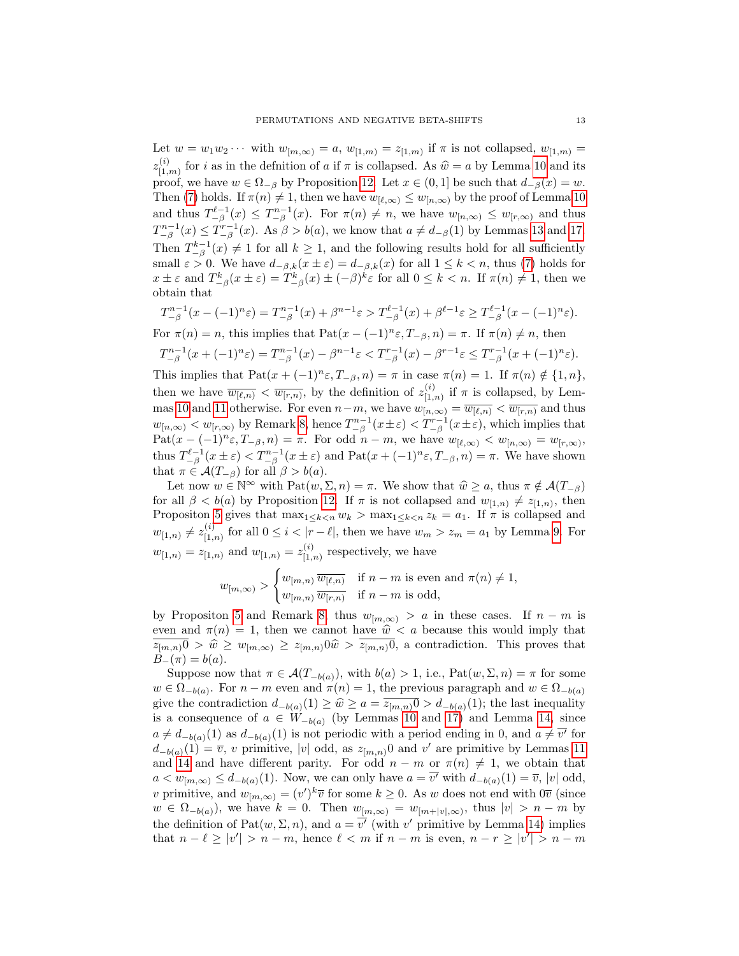Let  $w = w_1 w_2 \cdots$  with  $w_{[m,\infty)} = a$ ,  $w_{[1,m)} = z_{[1,m)}$  if  $\pi$  is not collapsed,  $w_{[1,m)} = a$  $z_{1}^{(i)}$  $\begin{bmatrix} 1 \\ 1 \end{bmatrix}$  for *i* as in the definition of *a* if  $\pi$  is collapsed. As  $\hat{w} = a$  by Lemma [10](#page-8-0) and its proof, we have  $w \in \Omega_{-\beta}$  by Proposition [12.](#page-9-2) Let  $x \in (0,1]$  be such that  $d_{-\beta}(x) = w$ . Then [\(7\)](#page-11-2) holds. If  $\pi(n) \neq 1$ , then we have  $w_{[\ell,\infty)} \leq w_{[n,\infty)}$  by the proof of Lemma [10](#page-8-0) and thus  $T_{-\beta}^{\ell-1}(x) \leq T_{-\beta}^{n-1}(x)$ . For  $\pi(n) \neq n$ , we have  $w_{[n,\infty)} \leq w_{[r,\infty)}$  and thus  $T_{-\beta}^{n-1}(x) \leq T_{-\beta}^{r-1}(x)$ . As  $\beta > b(a)$ , we know that  $a \neq d_{-\beta}(1)$  by Lemmas [13](#page-9-1) and [17.](#page-11-1) Then  $T_{-\beta}^{k-1}(x) \neq 1$  for all  $k \geq 1$ , and the following results hold for all sufficiently small  $\varepsilon > 0$ . We have  $d_{-\beta,k}(x \pm \varepsilon) = d_{-\beta,k}(x)$  for all  $1 \leq k < n$ , thus [\(7\)](#page-11-2) holds for  $x \pm \varepsilon$  and  $T_{-\beta}^k(x \pm \varepsilon) = T_{-\beta}^k(x) \pm (-\beta)^k \varepsilon$  for all  $0 \leq k < n$ . If  $\pi(n) \neq 1$ , then we obtain that

$$
T_{-\beta}^{n-1}(x - (-1)^n \varepsilon) = T_{-\beta}^{n-1}(x) + \beta^{n-1} \varepsilon > T_{-\beta}^{\ell-1}(x) + \beta^{\ell-1} \varepsilon \ge T_{-\beta}^{\ell-1}(x - (-1)^n \varepsilon).
$$
  
For  $\pi(n) = n$ , this implies that  $Pat(x - (-1)^n \varepsilon, T_{-\beta}, n) = \pi$ . If  $\pi(n) \ne n$ , then  

$$
T_{-\beta}^{n-1}(x + (-1)^n \varepsilon) = T_{-\beta}^{n-1}(x) - \beta^{n-1} \varepsilon < T_{-\beta}^{r-1}(x) - \beta^{r-1} \varepsilon \le T_{-\beta}^{r-1}(x + (-1)^n \varepsilon).
$$

This implies that  $Pat(x + (-1)^n \varepsilon, T_{-\beta}, n) = \pi$  in case  $\pi(n) = 1$ . If  $\pi(n) \notin \{1, n\},\$ then we have  $\overline{w_{[\ell,n)}} < \overline{w_{[r,n)}}$ , by the definition of  $z_{[1]}^{(i)}$  $\binom{v}{[1,n]}$  if  $\pi$  is collapsed, by Lem-mas [10](#page-8-0) and [11](#page-8-1) otherwise. For even  $n-m$ , we have  $w_{[n,\infty)} = \overline{w_{[\ell,n)}} < \overline{w_{[r,n)}}$  and thus  $w_{[n,\infty)} < w_{[r,\infty)}$  by Remark [8,](#page-7-0) hence  $T^{n-1}_{-\beta}(x \pm \varepsilon) < T^{r-1}_{-\beta}(x \pm \varepsilon)$ , which implies that  $\text{Pat}(x - (-1)^n \varepsilon, T_{-\beta}, n) = \pi$ . For odd  $n - m$ , we have  $w_{[\ell, \infty)} < w_{[n,\infty)} = w_{[r,\infty)}$ , thus  $T_{-\beta}^{\ell-1}(x \pm \varepsilon) < T_{-\beta}^{n-1}(x \pm \varepsilon)$  and  $\text{Pat}(x + (-1)^n \varepsilon, T_{-\beta}, n) = \pi$ . We have shown that  $\pi \in \mathcal{A}(T_{-\beta})$  for all  $\beta > b(a)$ .

Let now  $w \in \mathbb{N}^{\infty}$  with  $\text{Pat}(w, \Sigma, n) = \pi$ . We show that  $\hat{w} \ge a$ , thus  $\pi \notin \mathcal{A}(T_{-\beta})$ for all  $\beta < b(a)$  by Proposition [12.](#page-9-2) If  $\pi$  is not collapsed and  $w_{[1,n)} \neq z_{[1,n)}$ , then Propositon [5](#page-5-2) gives that  $\max_{1 \leq k < n} w_k > \max_{1 \leq k < n} z_k = a_1$ . If  $\pi$  is collapsed and  $w_{[1,n)} \neq z_{[1]}^{(i)}$  $\sum_{[1,n)}^{(i)}$  for all  $0 \leq i < |r - \ell|$ , then we have  $w_m > z_m = a_1$  by Lemma [9.](#page-7-4) For  $w_{[1,n)} = z_{[1,n)}$  and  $w_{[1,n)} = z_{[1,n]}^{(i)}$  $\binom{1}{1,n}$  respectively, we have

$$
w_{[m,\infty)} > \begin{cases} w_{[m,n)} \overline{w_{[\ell,n)}} & \text{if } n-m \text{ is even and } \pi(n) \neq 1, \\ w_{[m,n)} \overline{w_{[r,n)}} & \text{if } n-m \text{ is odd,} \end{cases}
$$

by Propositon [5](#page-5-2) and Remark [8,](#page-7-0) thus  $w_{[m,\infty)} > a$  in these cases. If  $n - m$  is even and  $\pi(n) = 1$ , then we cannot have  $\hat{w} < a$  because this would imply that  $\overline{z_{[m,n)}0} > \hat{w} \geq w_{[m,\infty)} \geq z_{[m,n)}0\hat{w} > \overline{z_{[m,n)}0}$ , a contradiction. This proves that  $B_{-}(\pi) = b(a).$ 

Suppose now that  $\pi \in \mathcal{A}(T_{-b(a)})$ , with  $b(a) > 1$ , i.e.,  $Pat(w, \Sigma, n) = \pi$  for some  $w \in \Omega_{-b(a)}$ . For  $n-m$  even and  $\pi(n) = 1$ , the previous paragraph and  $w \in \Omega_{-b(a)}$ give the contradiction  $d_{-b(a)}(1) \geq \hat{w} \geq a = \overline{z_{[m,n)}0} > d_{-b(a)}(1)$ ; the last inequality is a consequence of  $a \in W_{-b(a)}$  (by Lemmas [10](#page-8-0) and [17\)](#page-11-1) and Lemma [14,](#page-10-0) since  $a \neq d_{-b(a)}(1)$  as  $d_{-b(a)}(1)$  is not periodic with a period ending in 0, and  $a \neq \overline{v'}$  for  $d_{-b(a)}(1) = \overline{v}$ , v primitive, |v| odd, as  $z_{[m,n)}$ 0 and v' are primitive by Lemmas [11](#page-8-1) and [14](#page-10-0) and have different parity. For odd  $n - m$  or  $\pi(n) \neq 1$ , we obtain that  $a < w_{[m,\infty)} \leq d_{-b(a)}(1)$ . Now, we can only have  $a = \overline{v'}$  with  $d_{-b(a)}(1) = \overline{v}$ ,  $|v|$  odd, v primitive, and  $w_{[m,\infty)} = (v')^k \overline{v}$  for some  $k \geq 0$ . As w does not end with  $0\overline{v}$  (since  $w \in \Omega_{-b(a)}$ , we have  $k = 0$ . Then  $w_{[m,\infty)} = w_{[m+|v|,\infty)}$ , thus  $|v| > n - m$  by the definition of Pat $(w, \Sigma, n)$ , and  $a = \overline{v'}$  (with v' primitive by Lemma [14\)](#page-10-0) implies that  $n - \ell \ge |v'| > n - m$ , hence  $\ell < m$  if  $n - m$  is even,  $n - r \ge |v'| > n - m$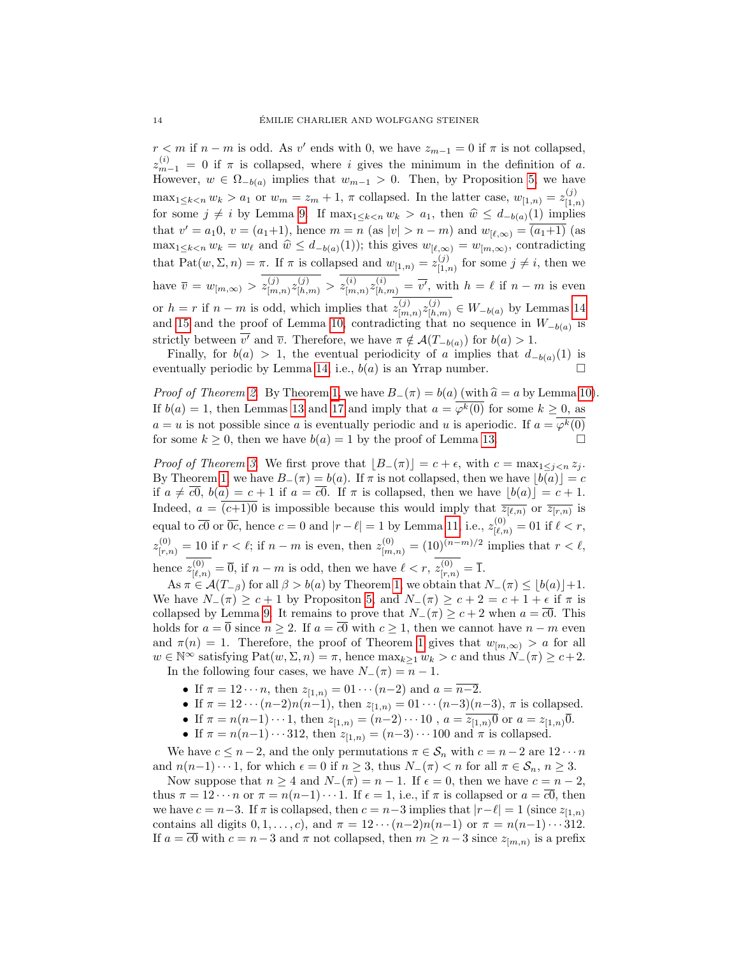$r < m$  if  $n - m$  is odd. As v' ends with 0, we have  $z_{m-1} = 0$  if  $\pi$  is not collapsed,  $z_{m-1}^{(i)} = 0$  if  $\pi$  is collapsed, where i gives the minimum in the definition of a. However,  $w \in \Omega_{-b(a)}$  implies that  $w_{m-1} > 0$ . Then, by Proposition [5,](#page-5-2) we have  $\max_{1 \leq k < n} w_k > a_1$  or  $w_m = z_m + 1$ ,  $\pi$  collapsed. In the latter case,  $w_{[1,n)} = z_{[1,n]}^{(j)}$  $[1,n)$ for some  $j \neq i$  by Lemma [9.](#page-7-4) If  $\max_{1 \leq k < n} w_k > a_1$ , then  $\hat{w} \leq d_{-b(a)}(1)$  implies that  $v' = a_1 0, v = (a_1 + 1)$ , hence  $m = n$  (as  $|v| > n - m$ ) and  $w_{\ell(\infty)} = (a_1 + 1)$  (as  $\max_{1 \leq k < n} w_k = w_\ell$  and  $\widehat{w} \leq d_{-b(a)}(1)$ ; this gives  $w_{[\ell,\infty)} = w_{[m,\infty)}$ , contradicting that Pat $(w, \Sigma, n) = \pi$ . If  $\pi$  is collapsed and  $w_{[1,n)} = z_{[1,n]}^{(j)}$  $\binom{1}{1,n}$  for some  $j \neq i$ , then we have  $\overline{v} = w_{m,\infty} > z_{m}^{(j)}$  $\binom{(j)}{[m,n)}z^{(j)}_{[h,m)} > z^{(i)}_{[m]}$  $\sum_{m,n=1}^{(i)} z_{[h,m)}^{(i)} = \overline{v'}$ , with  $h = \ell$  if  $n - m$  is even or  $h = r$  if  $n - m$  is odd, which implies that  $z_{m}^{(j)}$  $\bar{z}^{(j)}_{[m,n)}z^{(j)}_{[h,n]}$  $\binom{(J)}{[h,m]} \in W_{-b(a)}$  by Lemmas [14](#page-10-0) and [15](#page-10-1) and the proof of Lemma [10,](#page-8-0) contradicting that no sequence in  $W_{-b(a)}$  is strictly between  $\overline{v'}$  and  $\overline{v}$ . Therefore, we have  $\pi \notin \mathcal{A}(T_{-b(a)})$  for  $b(a) > 1$ .

Finally, for  $b(a) > 1$ , the eventual periodicity of a implies that  $d_{-b(a)}(1)$  is eventually periodic by Lemma [14,](#page-10-0) i.e.,  $b(a)$  is an Yrrap number.

*Proof of Theorem [2.](#page-3-1)* By Theorem [1,](#page-3-0) we have  $B_-(\pi) = b(a)$  (with  $\hat{a} = a$  by Lemma [10\)](#page-8-0). If  $b(a) = 1$ , then Lemmas [13](#page-9-1) and [17](#page-11-1) and imply that  $a = \varphi^k(0)$  for some  $k \geq 0$ , as  $a = u$  is not possible since a is eventually periodic and u is aperiodic. If  $a = \varphi^k(0)$ for some  $k \geq 0$ , then we have  $b(a) = 1$  by the proof of Lemma [13.](#page-9-1)

*Proof of Theorem [3.](#page-3-2)* We first prove that  $|B_-(\pi)| = c + \epsilon$ , with  $c = \max_{1 \leq i \leq n} z_i$ . By Theorem [1,](#page-3-0) we have  $B_-(\pi) = b(a)$ . If  $\pi$  is not collapsed, then we have  $\lfloor b(a)\rfloor = c$ if  $a \neq \overline{c0}$ ,  $b(a) = c + 1$  if  $a = \overline{c0}$ . If  $\pi$  is collapsed, then we have  $|b(a)| = c + 1$ . Indeed,  $a = (c+1)0$  is impossible because this would imply that  $\overline{z_{[\ell,n)}}$  or  $\overline{z_{[r,n)}}$  is equal to  $\overline{c0}$  or  $\overline{0c}$ , hence  $c = 0$  and  $|r - \ell| = 1$  by Lemma [11,](#page-8-1) i.e.,  $z_{[\ell,n)}^{(0)} = 01$  if  $\ell < r$ ,  $z_{[r,n)}^{(0)} = 10$  if  $r < \ell$ ; if  $n - m$  is even, then  $z_{[m,n)}^{(0)} = (10)^{(n-m)/2}$  implies that  $r < \ell$ , hence  $z_{[\ell,n)}^{(0)} = \overline{0}$ , if  $n-m$  is odd, then we have  $\ell < r$ ,  $z_{[r,n)}^{(0)} = \overline{1}$ .

As  $\pi \in \mathcal{A}(T_{-\beta})$  for all  $\beta > b(a)$  by Theorem [1,](#page-3-0) we obtain that  $N_{-}(\pi) \leq |b(a)|+1$ . We have  $N_-(\pi) \geq c+1$  by Propositon [5,](#page-5-2) and  $N_-(\pi) \geq c+2 = c+1+\epsilon$  if  $\pi$  is collapsed by Lemma [9.](#page-7-4) It remains to prove that  $N_-(\pi) \geq c+2$  when  $a = \overline{c0}$ . This holds for  $a = \overline{0}$  since  $n \geq 2$ . If  $a = \overline{c0}$  with  $c \geq 1$ , then we cannot have  $n - m$  even and  $\pi(n) = 1$  $\pi(n) = 1$ . Therefore, the proof of Theorem 1 gives that  $w_{[m,\infty)} > a$  for all  $w \in \mathbb{N}^{\infty}$  satisfying  $Pat(w, \Sigma, n) = \pi$ , hence  $\max_{k>1} w_k > c$  and thus  $N_-(\pi) \geq c+2$ . In the following four cases, we have  $N_-(\pi) = n - 1$ .

- If  $\pi = 12 \cdots n$ , then  $z_{[1,n)} = 01 \cdots (n-2)$  and  $a = \overline{n-2}$ .
- If  $\pi = 12 \cdots (n-2)n(n-1)$ , then  $z_{[1,n)} = 01 \cdots (n-3)(n-3)$ ,  $\pi$  is collapsed.
- If  $\pi = n(n-1)\cdots 1$ , then  $z_{[1,n)} = (n-2)\cdots 10$ ,  $a = \overline{z_{[1,n)}0}$  or  $a = z_{[1,n)}\overline{0}$ .
- If  $\pi = n(n-1)\cdots 312$ , then  $z_{[1,n)} = (n-3)\cdots 100$  and  $\pi$  is collapsed.

We have  $c \leq n-2$ , and the only permutations  $\pi \in S_n$  with  $c = n-2$  are  $12 \cdots n$ and  $n(n-1)\cdots 1$ , for which  $\epsilon = 0$  if  $n \geq 3$ , thus  $N_-(\pi) < n$  for all  $\pi \in S_n$ ,  $n \geq 3$ .

Now suppose that  $n \geq 4$  and  $N_-(\pi) = n - 1$ . If  $\epsilon = 0$ , then we have  $c = n - 2$ , thus  $\pi = 12 \cdots n$  or  $\pi = n(n-1)\cdots 1$ . If  $\epsilon = 1$ , i.e., if  $\pi$  is collapsed or  $a = \overline{c0}$ , then we have  $c = n-3$ . If  $\pi$  is collapsed, then  $c = n-3$  implies that  $|r-\ell| = 1$  (since  $z_{[1,n)}$ ) contains all digits  $0, 1, ..., c$ , and  $\pi = 12 \cdots (n-2)n(n-1)$  or  $\pi = n(n-1)\cdots 312$ . If  $a = \overline{c0}$  with  $c = n-3$  and  $\pi$  not collapsed, then  $m \geq n-3$  since  $z_{[m,n)}$  is a prefix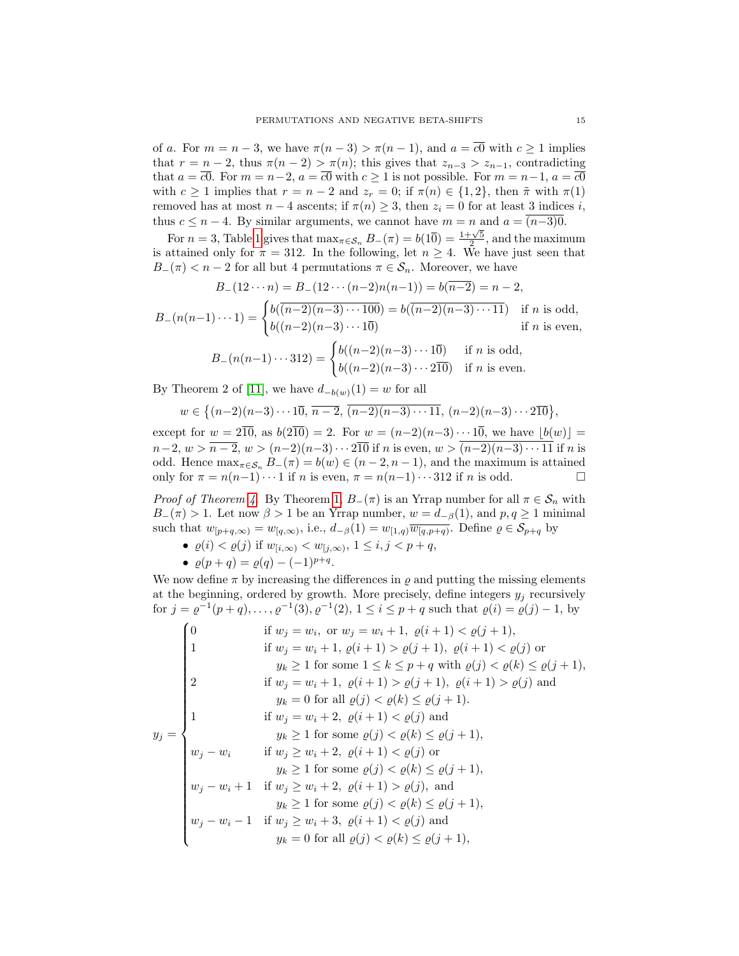of a. For  $m = n - 3$ , we have  $\pi(n - 3) > \pi(n - 1)$ , and  $a = \overline{c}0$  with  $c \ge 1$  implies that  $r = n - 2$ , thus  $\pi(n-2) > \pi(n)$ ; this gives that  $z_{n-3} > z_{n-1}$ , contradicting that  $a = \overline{c0}$ . For  $m = n-2$ ,  $a = \overline{c0}$  with  $c \ge 1$  is not possible. For  $m = n-1$ ,  $a = \overline{c0}$ with  $c \ge 1$  implies that  $r = n - 2$  and  $z_r = 0$ ; if  $\pi(n) \in \{1, 2\}$ , then  $\tilde{\pi}$  with  $\pi(1)$ removed has at most  $n-4$  ascents; if  $\pi(n) \geq 3$ , then  $z_i = 0$  for at least 3 indices i, thus  $c \leq n-4$ . By similar arguments, we cannot have  $m = n$  and  $a = (n-3)0$ .

For  $n = 3$ , Table [1](#page-4-1) gives that  $\max_{\pi \in S_n} B_-(\pi) = b(1\overline{0}) = \frac{1+\sqrt{5}}{2}$ , and the maximum is attained only for  $\pi = 312$ . In the following, let  $n \geq 4$ . We have just seen that  $B_-(\pi) < n-2$  for all but 4 permutations  $\pi \in \mathcal{S}_n$ . Moreover, we have

$$
B_{-}(12\cdots n) = B_{-}(12\cdots (n-2)n(n-1)) = b(n-2) = n-2,
$$

$$
B_{-}(n(n-1)\cdots 1) = \begin{cases} b(\overline{(n-2)(n-3)\cdots 100}) = b(\overline{(n-2)(n-3)\cdots 11}) & \text{if } n \text{ is odd,} \\ b((n-2)(n-3)\cdots 1\overline{0}) & \text{if } n \text{ is even,} \end{cases}
$$
  

$$
\begin{cases} b((n-2)(n-3)\cdots 1\overline{0}) & \text{if } n \text{ is odd} \end{cases}
$$

$$
B_{-}(n(n-1)\cdots 312) = \begin{cases} b((n-2)(n-3)\cdots 10) & \text{if } n \text{ is odd,} \\ b((n-2)(n-3)\cdots 210) & \text{if } n \text{ is even.} \end{cases}
$$

By Theorem 2 of [\[11\]](#page-16-8), we have  $d_{-b(w)}(1) = w$  for all

$$
w \in \{(n-2)(n-3)\cdots 1\overline{0}, \overline{n-2}, \overline{(n-2)(n-3)\cdots 11}, (n-2)(n-3)\cdots 2\overline{10}\},\
$$

except for  $w = 2\overline{10}$ , as  $b(2\overline{10}) = 2$ . For  $w = (n-2)(n-3)\cdots 1\overline{0}$ , we have  $|b(w)| =$  $n-2, w > \overline{n-2}, w > (n-2)(n-3)\cdots 2\overline{10}$  if n is even,  $w > (n-2)(n-3)\cdots 11$  if n is odd. Hence  $\max_{\pi \in S_n} B_-(\pi) = b(w) \in (n-2, n-1)$ , and the maximum is attained only for  $\pi = n(n-1)\cdots 1$  if n is even,  $\pi = n(n-1)\cdots 312$  if n is odd.

*Proof of Theorem [4.](#page-3-3)* By Theorem [1,](#page-3-0)  $B_-(\pi)$  is an Yrrap number for all  $\pi \in S_n$  with  $B_-(\pi) > 1$ . Let now  $\beta > 1$  be an Yrrap number,  $w = d_{-\beta}(1)$ , and  $p, q \ge 1$  minimal such that  $w_{[p+q,\infty)} = w_{[q,\infty)}$ , i.e.,  $d_{-\beta}(1) = w_{[1,q)} \overline{w_{[q,p+q)}}$ . Define  $\varrho \in \mathcal{S}_{p+q}$  by

•  $\varrho(i) < \varrho(j)$  if  $w_{[i,\infty)} < w_{[j,\infty)}$ ,  $1 \le i, j < p+q$ , •  $\varrho(p+q) = \varrho(q) - (-1)^{p+q}$ .

We now define  $\pi$  by increasing the differences in  $\varrho$  and putting the missing elements at the beginning, ordered by growth. More precisely, define integers  $y_j$  recursively for  $j = \varrho^{-1}(p+q), \ldots, \varrho^{-1}(3), \varrho^{-1}(2), 1 \leq i \leq p+q$  such that  $\varrho(i) = \varrho(j) - 1$ , by

$$
y_j = \begin{cases}\n0 & \text{if } w_j = w_i, \text{ or } w_j = w_i + 1, \ \varrho(i+1) < \varrho(j+1), \\
1 & \text{if } w_j = w_i + 1, \ \varrho(i+1) > \varrho(j+1), \ \varrho(i+1) < \varrho(j) \text{ or } \\
& y_k \ge 1 \text{ for some } 1 \le k \le p + q \text{ with } \varrho(j) < \varrho(k) \le \varrho(j+1), \\
2 & \text{if } w_j = w_i + 1, \ \varrho(i+1) > \varrho(j+1), \ \varrho(i+1) > \varrho(j) \text{ and } \\
& y_k = 0 \text{ for all } \varrho(j) < \varrho(k) \le \varrho(j+1).\n\end{cases}
$$
\n
$$
y_j = \begin{cases}\n1 & \text{if } w_j = w_i + 2, \ \varrho(i+1) < \varrho(j) \text{ and } \\
w_j = w_i + 2, \ \varrho(i+1) < \varrho(j) \text{ and } \\
w_j - w_i & \text{if } w_j \ge w_i + 2, \ \varrho(i+1) < \varrho(j) \text{ or } \\
w_j - w_i + 1 & \text{if } w_j \ge w_i + 2, \ \varrho(i+1) > \varrho(j), \text{ and } \\
w_j - w_i + 1 & \text{if } w_j \ge w_i + 2, \ \varrho(i+1) > \varrho(j), \text{ and } \\
w_j - w_i - 1 & \text{if } w_j \ge w_i + 3, \ \varrho(i+1) < \varrho(j) \text{ and } \\
w_k = 0 \text{ for all } \varrho(j) < \varrho(k) \le \varrho(j+1),\n\end{cases}
$$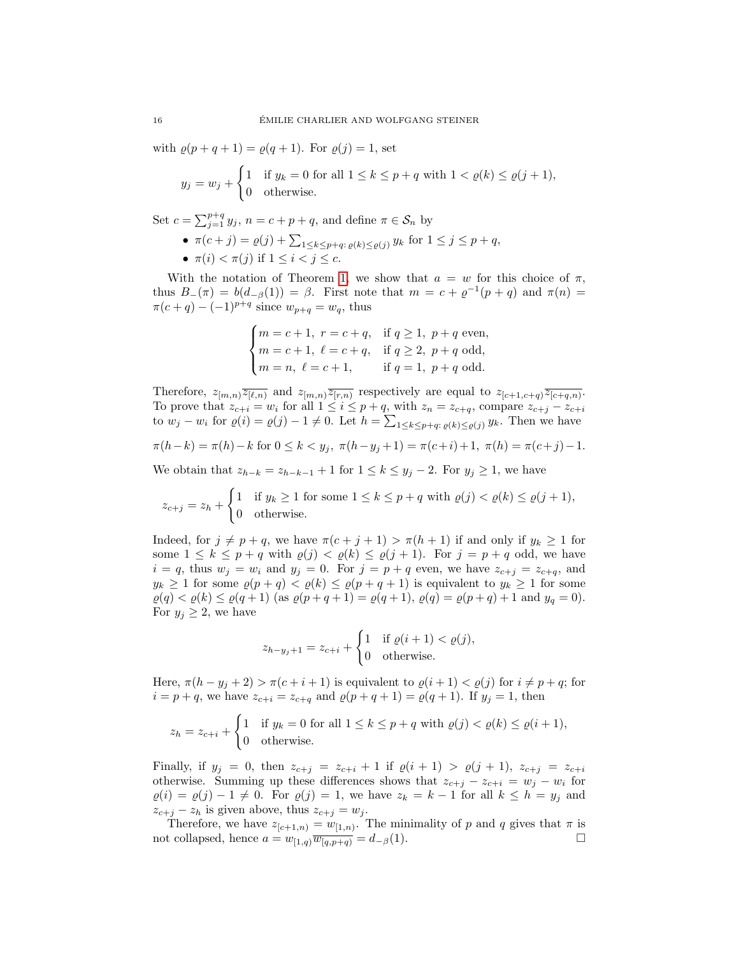with  $\rho(p+q+1) = \rho(q+1)$ . For  $\rho(j) = 1$ , set

$$
y_j = w_j + \begin{cases} 1 & \text{if } y_k = 0 \text{ for all } 1 \le k \le p + q \text{ with } 1 < \varrho(k) \le \varrho(j+1), \\ 0 & \text{otherwise.} \end{cases}
$$

Set  $c = \sum_{j=1}^{p+q} y_j$ ,  $n = c + p + q$ , and define  $\pi \in \mathcal{S}_n$  by

- $\pi(c + j) = \varrho(j) + \sum_{1 \le k \le p+q} \varrho(k) \le \varrho(j) y_k$  for  $1 \le j \le p+q$ ,
- $\pi(i) < \pi(j)$  if  $1 \leq i < j \leq c$ .

With the notation of Theorem [1,](#page-3-0) we show that  $a = w$  for this choice of  $\pi$ , thus  $B_-(\pi) = b(d_{-\beta}(1)) = \beta$ . First note that  $m = c + \varrho^{-1}(p+q)$  and  $\pi(n) =$  $\pi(c+q) - (-1)^{p+q}$  since  $w_{p+q} = w_q$ , thus

$$
\begin{cases} m = c + 1, \ r = c + q, & \text{if } q \ge 1, \ p + q \text{ even}, \\ m = c + 1, \ \ell = c + q, & \text{if } q \ge 2, \ p + q \text{ odd}, \\ m = n, \ \ell = c + 1, & \text{if } q = 1, \ p + q \text{ odd}. \end{cases}
$$

Therefore,  $z_{[m,n)}\overline{z_{[\ell,n)}}$  and  $z_{[m,n)}\overline{z_{[r,n)}}$  respectively are equal to  $z_{[c+1,c+q)}\overline{z_{[c+q,n)}}$ . To prove that  $z_{c+i} = w_i$  for all  $1 \leq i \leq p+q$ , with  $z_n = z_{c+q}$ , compare  $z_{c+j} - z_{c+i}$ to  $w_j - w_i$  for  $\varrho(i) = \varrho(j) - 1 \neq 0$ . Let  $h = \sum_{1 \leq k \leq p+q: \varrho(k) \leq \varrho(j)} y_k$ . Then we have

$$
\pi(h-k) = \pi(h) - k \text{ for } 0 \le k < y_j, \ \pi(h-y_j+1) = \pi(c+i) + 1, \ \pi(h) = \pi(c+j) - 1.
$$

We obtain that  $z_{h-k} = z_{h-k-1} + 1$  for  $1 \leq k \leq y_j - 2$ . For  $y_j \geq 1$ , we have

$$
z_{c+j} = z_h + \begin{cases} 1 & \text{if } y_k \ge 1 \text{ for some } 1 \le k \le p + q \text{ with } \varrho(j) < \varrho(k) \le \varrho(j+1), \\ 0 & \text{otherwise.} \end{cases}
$$

Indeed, for  $j \neq p + q$ , we have  $\pi(c + j + 1) > \pi(h + 1)$  if and only if  $y_k \geq 1$  for some  $1 \leq k \leq p+q$  with  $\varrho(j) < \varrho(k) \leq \varrho(j+1)$ . For  $j = p+q$  odd, we have  $i = q$ , thus  $w_j = w_i$  and  $y_j = 0$ . For  $j = p + q$  even, we have  $z_{c+j} = z_{c+q}$ , and  $y_k \ge 1$  for some  $\varrho(p+q) < \varrho(k) \le \varrho(p+q+1)$  is equivalent to  $y_k \ge 1$  for some  $\varrho(q) < \varrho(k) \leq \varrho(q+1)$  (as  $\varrho(p+q+1) = \varrho(q+1)$ ,  $\varrho(q) = \varrho(p+q) + 1$  and  $y_q = 0$ ). For  $y_i \geq 2$ , we have

$$
z_{h-y_j+1} = z_{c+i} + \begin{cases} 1 & \text{if } \varrho(i+1) < \varrho(j), \\ 0 & \text{otherwise.} \end{cases}
$$

Here,  $\pi(h - y_j + 2) > \pi(c + i + 1)$  is equivalent to  $\varrho(i + 1) < \varrho(j)$  for  $i \neq p + q$ ; for  $i = p + q$ , we have  $z_{c+i} = z_{c+q}$  and  $\varrho(p + q + 1) = \varrho(q + 1)$ . If  $y_j = 1$ , then

$$
z_h = z_{c+i} + \begin{cases} 1 & \text{if } y_k = 0 \text{ for all } 1 \le k \le p + q \text{ with } \varrho(j) < \varrho(k) \le \varrho(i+1), \\ 0 & \text{otherwise.} \end{cases}
$$

Finally, if  $y_j = 0$ , then  $z_{c+j} = z_{c+i} + 1$  if  $\varrho(i+1) > \varrho(j+1)$ ,  $z_{c+j} = z_{c+i}$ otherwise. Summing up these differences shows that  $z_{c+j} - z_{c+i} = w_j - w_i$  for  $\varrho(i) = \varrho(j) - 1 \neq 0$ . For  $\varrho(j) = 1$ , we have  $z_k = k - 1$  for all  $k \leq h = y_j$  and  $z_{c+j} - z_h$  is given above, thus  $z_{c+j} = w_j$ .

Therefore, we have  $z_{[c+1,n]} = w_{[1,n)}$ . The minimality of p and q gives that  $\pi$  is not collapsed, hence  $a = w_{[1,q)}\overline{w_{[q,p+q)}} = d_{-\beta}(1)$ .